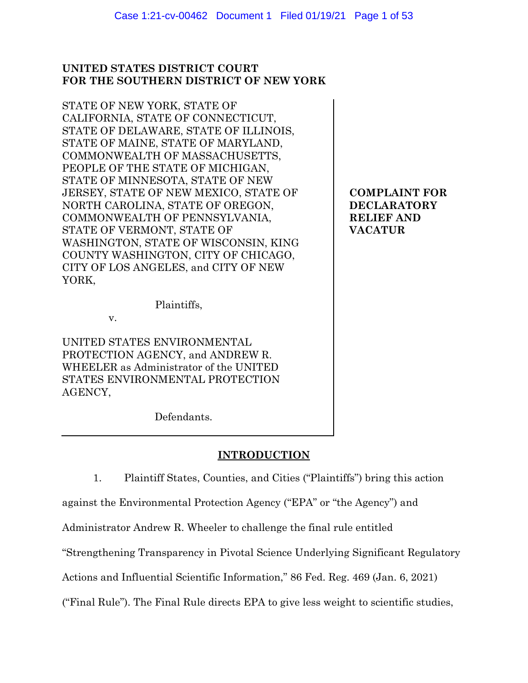# **UNITED STATES DISTRICT COURT FOR THE SOUTHERN DISTRICT OF NEW YORK**

STATE OF NEW YORK, STATE OF CALIFORNIA, STATE OF CONNECTICUT, STATE OF DELAWARE, STATE OF ILLINOIS, STATE OF MAINE, STATE OF MARYLAND, COMMONWEALTH OF MASSACHUSETTS, PEOPLE OF THE STATE OF MICHIGAN, STATE OF MINNESOTA, STATE OF NEW JERSEY, STATE OF NEW MEXICO, STATE OF NORTH CAROLINA, STATE OF OREGON, COMMONWEALTH OF PENNSYLVANIA, STATE OF VERMONT, STATE OF WASHINGTON, STATE OF WISCONSIN, KING COUNTY WASHINGTON, CITY OF CHICAGO, CITY OF LOS ANGELES, and CITY OF NEW YORK,

Plaintiffs,

v.

UNITED STATES ENVIRONMENTAL PROTECTION AGENCY, and ANDREW R. WHEELER as Administrator of the UNITED STATES ENVIRONMENTAL PROTECTION AGENCY,

Defendants.

# **INTRODUCTION**

1. Plaintiff States, Counties, and Cities ("Plaintiffs") bring this action

against the Environmental Protection Agency ("EPA" or "the Agency") and

Administrator Andrew R. Wheeler to challenge the final rule entitled

"Strengthening Transparency in Pivotal Science Underlying Significant Regulatory

Actions and Influential Scientific Information," 86 Fed. Reg. 469 (Jan. 6, 2021)

("Final Rule"). The Final Rule directs EPA to give less weight to scientific studies,

**COMPLAINT FOR DECLARATORY RELIEF AND VACATUR**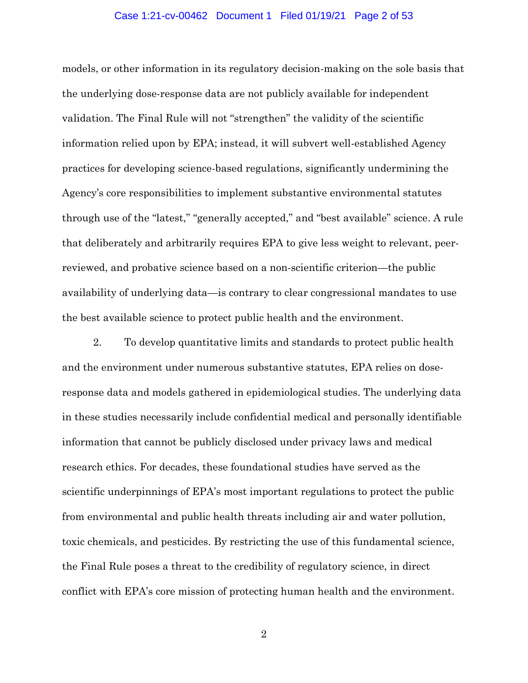### Case 1:21-cv-00462 Document 1 Filed 01/19/21 Page 2 of 53

models, or other information in its regulatory decision-making on the sole basis that the underlying dose-response data are not publicly available for independent validation. The Final Rule will not "strengthen" the validity of the scientific information relied upon by EPA; instead, it will subvert well-established Agency practices for developing science-based regulations, significantly undermining the Agency's core responsibilities to implement substantive environmental statutes through use of the "latest," "generally accepted," and "best available" science. A rule that deliberately and arbitrarily requires EPA to give less weight to relevant, peerreviewed, and probative science based on a non-scientific criterion—the public availability of underlying data—is contrary to clear congressional mandates to use the best available science to protect public health and the environment.

2. To develop quantitative limits and standards to protect public health and the environment under numerous substantive statutes, EPA relies on doseresponse data and models gathered in epidemiological studies. The underlying data in these studies necessarily include confidential medical and personally identifiable information that cannot be publicly disclosed under privacy laws and medical research ethics. For decades, these foundational studies have served as the scientific underpinnings of EPA's most important regulations to protect the public from environmental and public health threats including air and water pollution, toxic chemicals, and pesticides. By restricting the use of this fundamental science, the Final Rule poses a threat to the credibility of regulatory science, in direct conflict with EPA's core mission of protecting human health and the environment.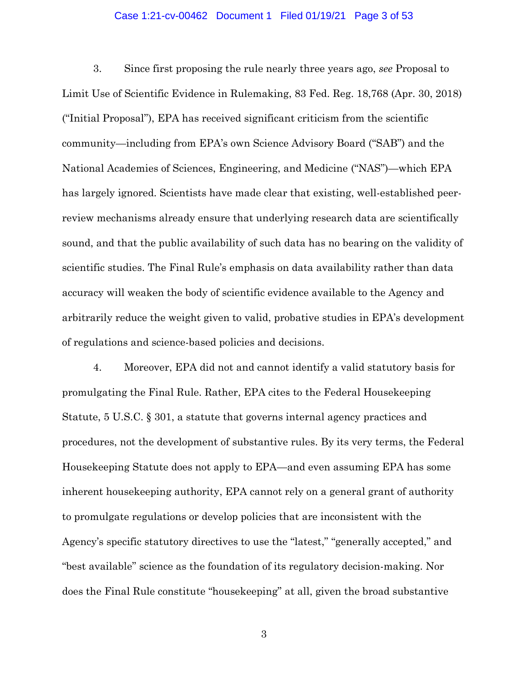### Case 1:21-cv-00462 Document 1 Filed 01/19/21 Page 3 of 53

3. Since first proposing the rule nearly three years ago, *see* Proposal to Limit Use of Scientific Evidence in Rulemaking, 83 Fed. Reg. 18,768 (Apr. 30, 2018) ("Initial Proposal"), EPA has received significant criticism from the scientific community—including from EPA's own Science Advisory Board ("SAB") and the National Academies of Sciences, Engineering, and Medicine ("NAS")—which EPA has largely ignored. Scientists have made clear that existing, well-established peerreview mechanisms already ensure that underlying research data are scientifically sound, and that the public availability of such data has no bearing on the validity of scientific studies. The Final Rule's emphasis on data availability rather than data accuracy will weaken the body of scientific evidence available to the Agency and arbitrarily reduce the weight given to valid, probative studies in EPA's development of regulations and science-based policies and decisions.

4. Moreover, EPA did not and cannot identify a valid statutory basis for promulgating the Final Rule. Rather, EPA cites to the Federal Housekeeping Statute, 5 U.S.C. § 301, a statute that governs internal agency practices and procedures, not the development of substantive rules. By its very terms, the Federal Housekeeping Statute does not apply to EPA—and even assuming EPA has some inherent housekeeping authority, EPA cannot rely on a general grant of authority to promulgate regulations or develop policies that are inconsistent with the Agency's specific statutory directives to use the "latest," "generally accepted," and "best available" science as the foundation of its regulatory decision-making. Nor does the Final Rule constitute "housekeeping" at all, given the broad substantive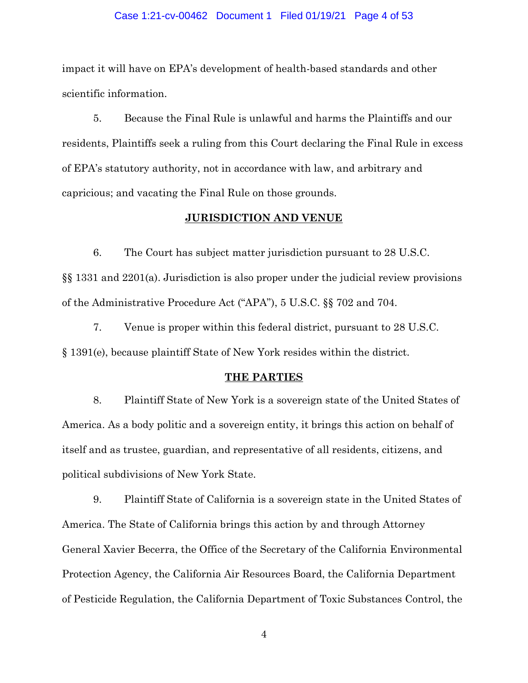#### Case 1:21-cv-00462 Document 1 Filed 01/19/21 Page 4 of 53

impact it will have on EPA's development of health-based standards and other scientific information.

5. Because the Final Rule is unlawful and harms the Plaintiffs and our residents, Plaintiffs seek a ruling from this Court declaring the Final Rule in excess of EPA's statutory authority, not in accordance with law, and arbitrary and capricious; and vacating the Final Rule on those grounds.

## **JURISDICTION AND VENUE**

6. The Court has subject matter jurisdiction pursuant to 28 U.S.C. §§ 1331 and 2201(a). Jurisdiction is also proper under the judicial review provisions of the Administrative Procedure Act ("APA"), 5 U.S.C. §§ 702 and 704.

7. Venue is proper within this federal district, pursuant to 28 U.S.C. § 1391(e), because plaintiff State of New York resides within the district.

#### **THE PARTIES**

8. Plaintiff State of New York is a sovereign state of the United States of America. As a body politic and a sovereign entity, it brings this action on behalf of itself and as trustee, guardian, and representative of all residents, citizens, and political subdivisions of New York State.

9. Plaintiff State of California is a sovereign state in the United States of America. The State of California brings this action by and through Attorney General Xavier Becerra, the Office of the Secretary of the California Environmental Protection Agency, the California Air Resources Board, the California Department of Pesticide Regulation, the California Department of Toxic Substances Control, the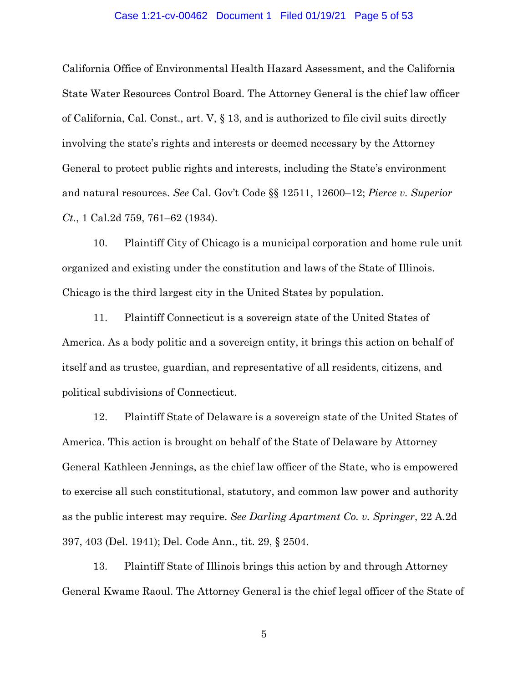#### Case 1:21-cv-00462 Document 1 Filed 01/19/21 Page 5 of 53

California Office of Environmental Health Hazard Assessment, and the California State Water Resources Control Board. The Attorney General is the chief law officer of California, Cal. Const., art. V, § 13, and is authorized to file civil suits directly involving the state's rights and interests or deemed necessary by the Attorney General to protect public rights and interests, including the State's environment and natural resources. *See* Cal. Gov't Code §§ 12511, 12600–12; *Pierce v. Superior Ct*., 1 Cal.2d 759, 761–62 (1934).

10. Plaintiff City of Chicago is a municipal corporation and home rule unit organized and existing under the constitution and laws of the State of Illinois. Chicago is the third largest city in the United States by population.

11. Plaintiff Connecticut is a sovereign state of the United States of America. As a body politic and a sovereign entity, it brings this action on behalf of itself and as trustee, guardian, and representative of all residents, citizens, and political subdivisions of Connecticut.

12. Plaintiff State of Delaware is a sovereign state of the United States of America. This action is brought on behalf of the State of Delaware by Attorney General Kathleen Jennings, as the chief law officer of the State, who is empowered to exercise all such constitutional, statutory, and common law power and authority as the public interest may require. *See Darling Apartment Co. v. Springer*, 22 A.2d 397, 403 (Del. 1941); Del. Code Ann., tit. 29, § 2504.

13. Plaintiff State of Illinois brings this action by and through Attorney General Kwame Raoul. The Attorney General is the chief legal officer of the State of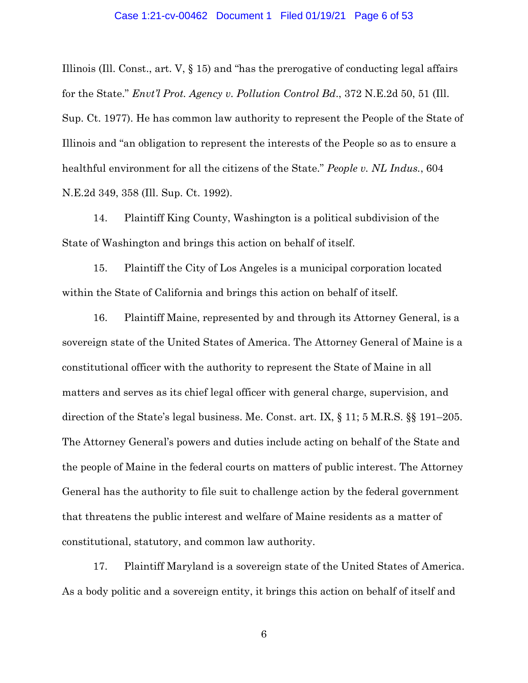Illinois (Ill. Const., art. V, § 15) and "has the prerogative of conducting legal affairs for the State." *Envt'l Prot. Agency v. Pollution Control Bd*., 372 N.E.2d 50, 51 (Ill. Sup. Ct. 1977). He has common law authority to represent the People of the State of Illinois and "an obligation to represent the interests of the People so as to ensure a healthful environment for all the citizens of the State." *People v. NL Indus.*, 604 N.E.2d 349, 358 (Ill. Sup. Ct. 1992).

14. Plaintiff King County, Washington is a political subdivision of the State of Washington and brings this action on behalf of itself.

15. Plaintiff the City of Los Angeles is a municipal corporation located within the State of California and brings this action on behalf of itself.

16. Plaintiff Maine, represented by and through its Attorney General, is a sovereign state of the United States of America. The Attorney General of Maine is a constitutional officer with the authority to represent the State of Maine in all matters and serves as its chief legal officer with general charge, supervision, and direction of the State's legal business. Me. Const. art. IX, § 11; 5 M.R.S. §§ 191–205. The Attorney General's powers and duties include acting on behalf of the State and the people of Maine in the federal courts on matters of public interest. The Attorney General has the authority to file suit to challenge action by the federal government that threatens the public interest and welfare of Maine residents as a matter of constitutional, statutory, and common law authority.

17. Plaintiff Maryland is a sovereign state of the United States of America. As a body politic and a sovereign entity, it brings this action on behalf of itself and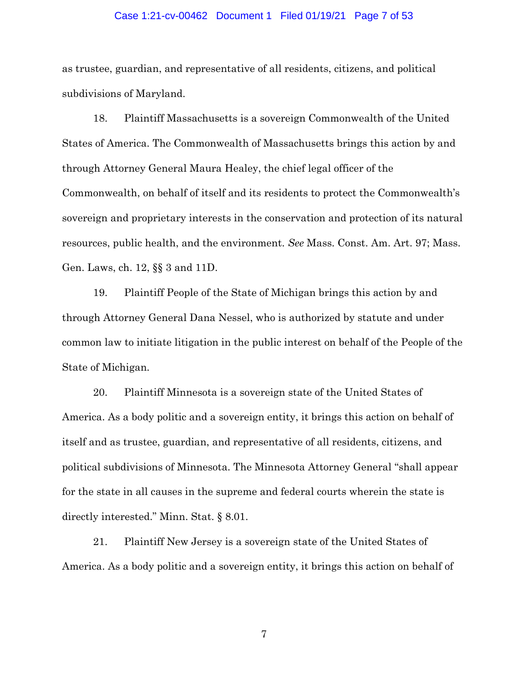#### Case 1:21-cv-00462 Document 1 Filed 01/19/21 Page 7 of 53

as trustee, guardian, and representative of all residents, citizens, and political subdivisions of Maryland.

18. Plaintiff Massachusetts is a sovereign Commonwealth of the United States of America. The Commonwealth of Massachusetts brings this action by and through Attorney General Maura Healey, the chief legal officer of the Commonwealth, on behalf of itself and its residents to protect the Commonwealth's sovereign and proprietary interests in the conservation and protection of its natural resources, public health, and the environment. *See* Mass. Const. Am. Art. 97; Mass. Gen. Laws, ch. 12, §§ 3 and 11D.

19. Plaintiff People of the State of Michigan brings this action by and through Attorney General Dana Nessel, who is authorized by statute and under common law to initiate litigation in the public interest on behalf of the People of the State of Michigan.

20. Plaintiff Minnesota is a sovereign state of the United States of America. As a body politic and a sovereign entity, it brings this action on behalf of itself and as trustee, guardian, and representative of all residents, citizens, and political subdivisions of Minnesota. The Minnesota Attorney General "shall appear for the state in all causes in the supreme and federal courts wherein the state is directly interested." Minn. Stat. § 8.01.

21. Plaintiff New Jersey is a sovereign state of the United States of America. As a body politic and a sovereign entity, it brings this action on behalf of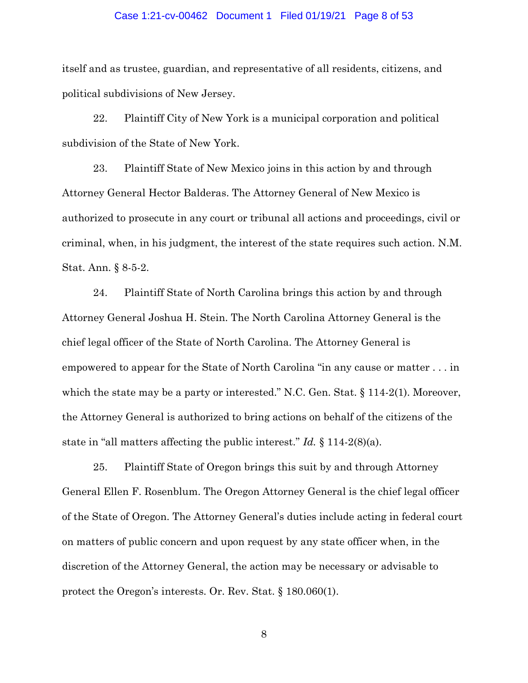### Case 1:21-cv-00462 Document 1 Filed 01/19/21 Page 8 of 53

itself and as trustee, guardian, and representative of all residents, citizens, and political subdivisions of New Jersey.

22. Plaintiff City of New York is a municipal corporation and political subdivision of the State of New York.

23. Plaintiff State of New Mexico joins in this action by and through Attorney General Hector Balderas. The Attorney General of New Mexico is authorized to prosecute in any court or tribunal all actions and proceedings, civil or criminal, when, in his judgment, the interest of the state requires such action. N.M. Stat. Ann. § 8-5-2.

24. Plaintiff State of North Carolina brings this action by and through Attorney General Joshua H. Stein. The North Carolina Attorney General is the chief legal officer of the State of North Carolina. The Attorney General is empowered to appear for the State of North Carolina "in any cause or matter . . . in which the state may be a party or interested." N.C. Gen. Stat. § 114-2(1). Moreover, the Attorney General is authorized to bring actions on behalf of the citizens of the state in "all matters affecting the public interest." *Id.* § 114-2(8)(a).

25. Plaintiff State of Oregon brings this suit by and through Attorney General Ellen F. Rosenblum. The Oregon Attorney General is the chief legal officer of the State of Oregon. The Attorney General's duties include acting in federal court on matters of public concern and upon request by any state officer when, in the discretion of the Attorney General, the action may be necessary or advisable to protect the Oregon's interests. Or. Rev. Stat. § 180.060(1).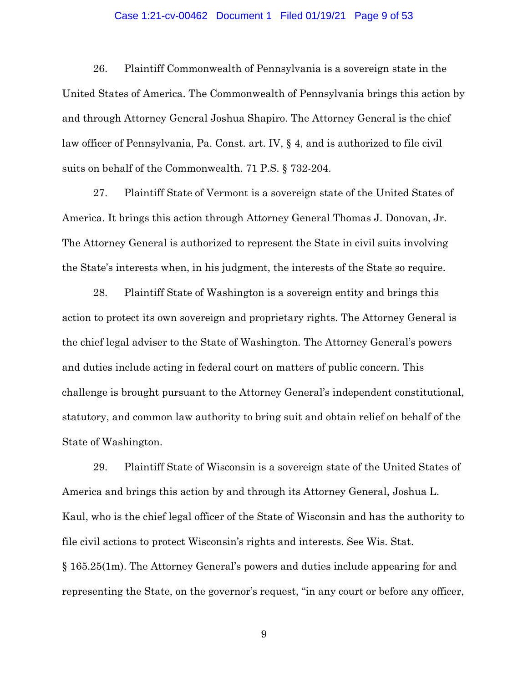### Case 1:21-cv-00462 Document 1 Filed 01/19/21 Page 9 of 53

26. Plaintiff Commonwealth of Pennsylvania is a sovereign state in the United States of America. The Commonwealth of Pennsylvania brings this action by and through Attorney General Joshua Shapiro. The Attorney General is the chief law officer of Pennsylvania, Pa. Const. art. IV, § 4, and is authorized to file civil suits on behalf of the Commonwealth. 71 P.S. § 732-204.

27. Plaintiff State of Vermont is a sovereign state of the United States of America. It brings this action through Attorney General Thomas J. Donovan, Jr. The Attorney General is authorized to represent the State in civil suits involving the State's interests when, in his judgment, the interests of the State so require.

28. Plaintiff State of Washington is a sovereign entity and brings this action to protect its own sovereign and proprietary rights. The Attorney General is the chief legal adviser to the State of Washington. The Attorney General's powers and duties include acting in federal court on matters of public concern. This challenge is brought pursuant to the Attorney General's independent constitutional, statutory, and common law authority to bring suit and obtain relief on behalf of the State of Washington.

29. Plaintiff State of Wisconsin is a sovereign state of the United States of America and brings this action by and through its Attorney General, Joshua L. Kaul, who is the chief legal officer of the State of Wisconsin and has the authority to file civil actions to protect Wisconsin's rights and interests. See Wis. Stat. § 165.25(1m). The Attorney General's powers and duties include appearing for and representing the State, on the governor's request, "in any court or before any officer,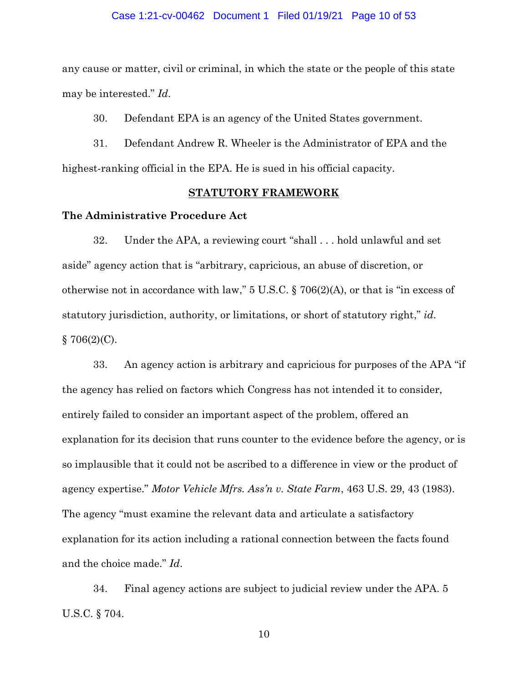#### Case 1:21-cv-00462 Document 1 Filed 01/19/21 Page 10 of 53

any cause or matter, civil or criminal, in which the state or the people of this state may be interested." *Id*.

30. Defendant EPA is an agency of the United States government.

31. Defendant Andrew R. Wheeler is the Administrator of EPA and the highest-ranking official in the EPA. He is sued in his official capacity.

### **STATUTORY FRAMEWORK**

## **The Administrative Procedure Act**

32. Under the APA, a reviewing court "shall . . . hold unlawful and set aside" agency action that is "arbitrary, capricious, an abuse of discretion, or otherwise not in accordance with law," 5 U.S.C. § 706(2)(A), or that is "in excess of statutory jurisdiction, authority, or limitations, or short of statutory right," *id*.  $§ 706(2)(C).$ 

33. An agency action is arbitrary and capricious for purposes of the APA "if the agency has relied on factors which Congress has not intended it to consider, entirely failed to consider an important aspect of the problem, offered an explanation for its decision that runs counter to the evidence before the agency, or is so implausible that it could not be ascribed to a difference in view or the product of agency expertise." *Motor Vehicle Mfrs. Ass'n v. State Farm*, 463 U.S. 29, 43 (1983). The agency "must examine the relevant data and articulate a satisfactory explanation for its action including a rational connection between the facts found and the choice made." *Id*.

34. Final agency actions are subject to judicial review under the APA. 5 U.S.C. § 704.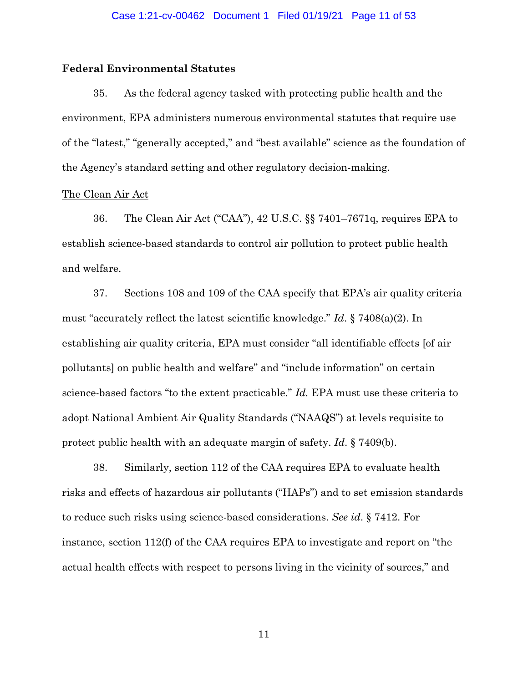## **Federal Environmental Statutes**

35. As the federal agency tasked with protecting public health and the environment, EPA administers numerous environmental statutes that require use of the "latest," "generally accepted," and "best available" science as the foundation of the Agency's standard setting and other regulatory decision-making.

## The Clean Air Act

36. The Clean Air Act ("CAA"), 42 U.S.C. §§ 7401–7671q, requires EPA to establish science-based standards to control air pollution to protect public health and welfare.

37. Sections 108 and 109 of the CAA specify that EPA's air quality criteria must "accurately reflect the latest scientific knowledge." *Id*. § 7408(a)(2). In establishing air quality criteria, EPA must consider "all identifiable effects [of air pollutants] on public health and welfare" and "include information" on certain science-based factors "to the extent practicable." *Id.* EPA must use these criteria to adopt National Ambient Air Quality Standards ("NAAQS") at levels requisite to protect public health with an adequate margin of safety. *Id*. § 7409(b).

38. Similarly, section 112 of the CAA requires EPA to evaluate health risks and effects of hazardous air pollutants ("HAPs") and to set emission standards to reduce such risks using science-based considerations. *See id*. § 7412. For instance, section 112(f) of the CAA requires EPA to investigate and report on "the actual health effects with respect to persons living in the vicinity of sources," and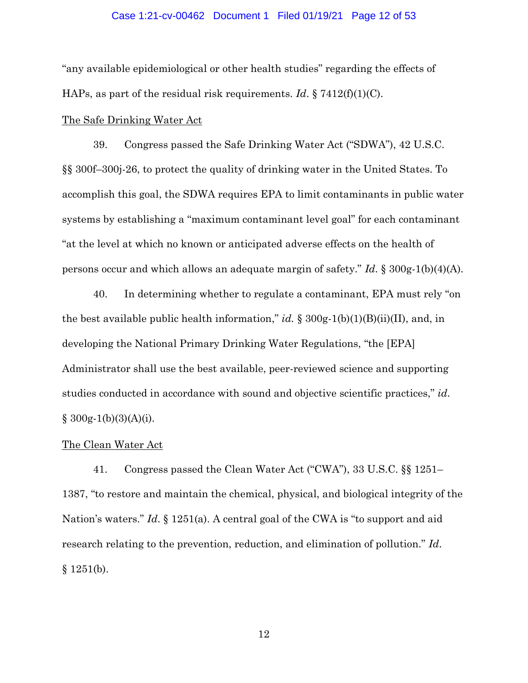### Case 1:21-cv-00462 Document 1 Filed 01/19/21 Page 12 of 53

"any available epidemiological or other health studies" regarding the effects of HAPs, as part of the residual risk requirements. *Id*. § 7412(f)(1)(C).

## The Safe Drinking Water Act

39. Congress passed the Safe Drinking Water Act ("SDWA"), 42 U.S.C. §§ 300f–300j-26, to protect the quality of drinking water in the United States. To accomplish this goal, the SDWA requires EPA to limit contaminants in public water systems by establishing a "maximum contaminant level goal" for each contaminant "at the level at which no known or anticipated adverse effects on the health of persons occur and which allows an adequate margin of safety." *Id*. § 300g-1(b)(4)(A).

40. In determining whether to regulate a contaminant, EPA must rely "on the best available public health information," *id.*  $\S 300g-1(b)(1)(B)(ii)(II)$ , and, in developing the National Primary Drinking Water Regulations, "the [EPA] Administrator shall use the best available, peer-reviewed science and supporting studies conducted in accordance with sound and objective scientific practices," *id*.  $§$  300g-1(b)(3)(A)(i).

### The Clean Water Act

41. Congress passed the Clean Water Act ("CWA"), 33 U.S.C. §§ 1251– 1387, "to restore and maintain the chemical, physical, and biological integrity of the Nation's waters." *Id*. § 1251(a). A central goal of the CWA is "to support and aid research relating to the prevention, reduction, and elimination of pollution." *Id*.  $§ 1251(b).$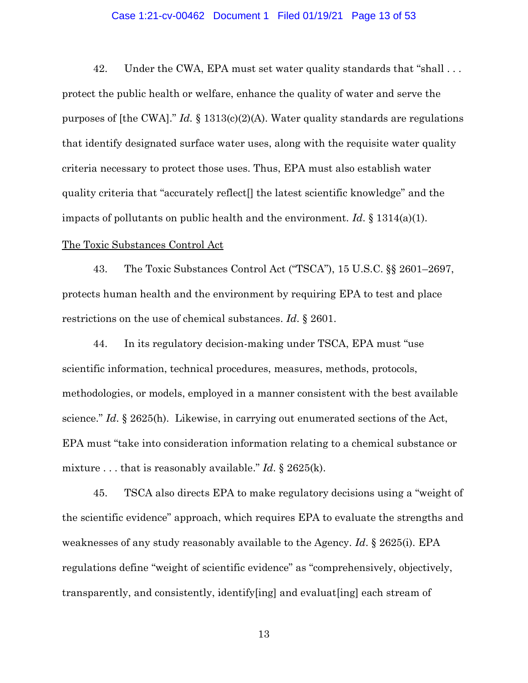### Case 1:21-cv-00462 Document 1 Filed 01/19/21 Page 13 of 53

42. Under the CWA, EPA must set water quality standards that "shall . . . protect the public health or welfare, enhance the quality of water and serve the purposes of [the CWA]." *Id.* § 1313(c)(2)(A). Water quality standards are regulations that identify designated surface water uses, along with the requisite water quality criteria necessary to protect those uses. Thus, EPA must also establish water quality criteria that "accurately reflect[] the latest scientific knowledge" and the impacts of pollutants on public health and the environment. *Id*. § 1314(a)(1).

## The Toxic Substances Control Act

43. The Toxic Substances Control Act ("TSCA"), 15 U.S.C. §§ 2601–2697, protects human health and the environment by requiring EPA to test and place restrictions on the use of chemical substances. *Id*. § 2601.

44. In its regulatory decision-making under TSCA, EPA must "use scientific information, technical procedures, measures, methods, protocols, methodologies, or models, employed in a manner consistent with the best available science." *Id*. § 2625(h). Likewise, in carrying out enumerated sections of the Act, EPA must "take into consideration information relating to a chemical substance or mixture . . . that is reasonably available." *Id*. § 2625(k).

45. TSCA also directs EPA to make regulatory decisions using a "weight of the scientific evidence" approach, which requires EPA to evaluate the strengths and weaknesses of any study reasonably available to the Agency. *Id*. § 2625(i). EPA regulations define "weight of scientific evidence" as "comprehensively, objectively, transparently, and consistently, identify[ing] and evaluat[ing] each stream of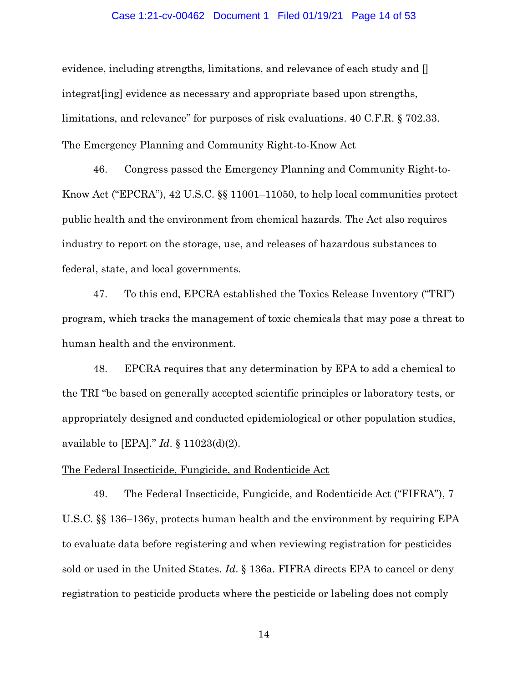### Case 1:21-cv-00462 Document 1 Filed 01/19/21 Page 14 of 53

evidence, including strengths, limitations, and relevance of each study and [] integrat[ing] evidence as necessary and appropriate based upon strengths, limitations, and relevance" for purposes of risk evaluations. 40 C.F.R. § 702.33. The Emergency Planning and Community Right-to-Know Act

46. Congress passed the Emergency Planning and Community Right-to-Know Act ("EPCRA"), 42 U.S.C. §§ 11001–11050, to help local communities protect public health and the environment from chemical hazards. The Act also requires industry to report on the storage, use, and releases of hazardous substances to federal, state, and local governments.

47. To this end, EPCRA established the Toxics Release Inventory ("TRI") program, which tracks the management of toxic chemicals that may pose a threat to human health and the environment.

48. EPCRA requires that any determination by EPA to add a chemical to the TRI "be based on generally accepted scientific principles or laboratory tests, or appropriately designed and conducted epidemiological or other population studies, available to [EPA]." *Id*. § 11023(d)(2).

## The Federal Insecticide, Fungicide, and Rodenticide Act

49. The Federal Insecticide, Fungicide, and Rodenticide Act ("FIFRA"), 7 U.S.C. §§ 136–136y, protects human health and the environment by requiring EPA to evaluate data before registering and when reviewing registration for pesticides sold or used in the United States. *Id*. § 136a. FIFRA directs EPA to cancel or deny registration to pesticide products where the pesticide or labeling does not comply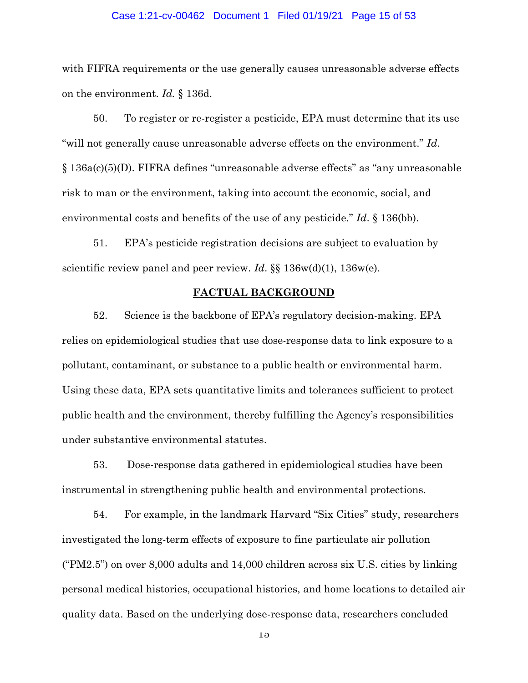### Case 1:21-cv-00462 Document 1 Filed 01/19/21 Page 15 of 53

with FIFRA requirements or the use generally causes unreasonable adverse effects on the environment. *Id.* § 136d.

50. To register or re-register a pesticide, EPA must determine that its use "will not generally cause unreasonable adverse effects on the environment." *Id*. § 136a(c)(5)(D). FIFRA defines "unreasonable adverse effects" as "any unreasonable risk to man or the environment, taking into account the economic, social, and environmental costs and benefits of the use of any pesticide." *Id*. § 136(bb).

51. EPA's pesticide registration decisions are subject to evaluation by scientific review panel and peer review. *Id*. §§ 136w(d)(1), 136w(e).

### **FACTUAL BACKGROUND**

52. Science is the backbone of EPA's regulatory decision-making. EPA relies on epidemiological studies that use dose-response data to link exposure to a pollutant, contaminant, or substance to a public health or environmental harm. Using these data, EPA sets quantitative limits and tolerances sufficient to protect public health and the environment, thereby fulfilling the Agency's responsibilities under substantive environmental statutes.

53. Dose-response data gathered in epidemiological studies have been instrumental in strengthening public health and environmental protections.

54. For example, in the landmark Harvard "Six Cities" study, researchers investigated the long-term effects of exposure to fine particulate air pollution ("PM2.5") on over 8,000 adults and 14,000 children across six U.S. cities by linking personal medical histories, occupational histories, and home locations to detailed air quality data. Based on the underlying dose-response data, researchers concluded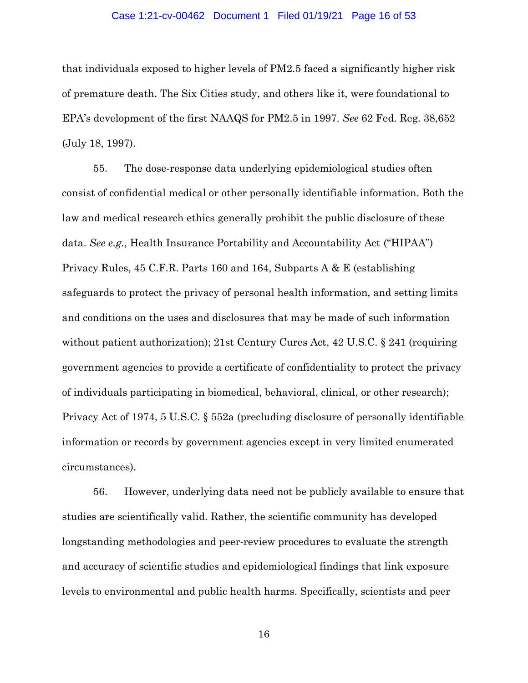#### Case 1:21-cv-00462 Document 1 Filed 01/19/21 Page 16 of 53

that individuals exposed to higher levels of PM2.5 faced a significantly higher risk of premature death. The Six Cities study, and others like it, were foundational to EPA's development of the first NAAQS for PM2.5 in 1997. *See* 62 Fed. Reg. 38,652 (July 18, 1997).

55. The dose-response data underlying epidemiological studies often consist of confidential medical or other personally identifiable information. Both the law and medical research ethics generally prohibit the public disclosure of these data. *See e.g.*, Health Insurance Portability and Accountability Act ("HIPAA") Privacy Rules, 45 C.F.R. Parts 160 and 164, Subparts A & E (establishing safeguards to protect the privacy of personal health information, and setting limits and conditions on the uses and disclosures that may be made of such information without patient authorization); 21st Century Cures Act, 42 U.S.C. § 241 (requiring government agencies to provide a certificate of confidentiality to protect the privacy of individuals participating in biomedical, behavioral, clinical, or other research); Privacy Act of 1974, 5 U.S.C. § 552a (precluding disclosure of personally identifiable information or records by government agencies except in very limited enumerated circumstances).

56. However, underlying data need not be publicly available to ensure that studies are scientifically valid. Rather, the scientific community has developed longstanding methodologies and peer-review procedures to evaluate the strength and accuracy of scientific studies and epidemiological findings that link exposure levels to environmental and public health harms. Specifically, scientists and peer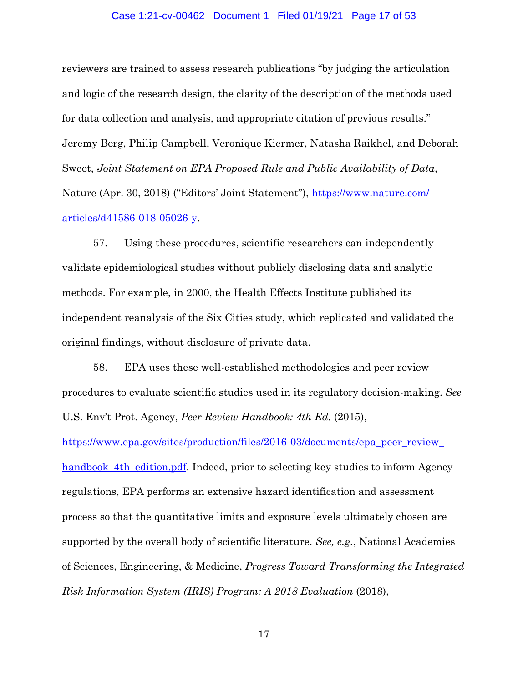### Case 1:21-cv-00462 Document 1 Filed 01/19/21 Page 17 of 53

reviewers are trained to assess research publications "by judging the articulation and logic of the research design, the clarity of the description of the methods used for data collection and analysis, and appropriate citation of previous results." Jeremy Berg, Philip Campbell, Veronique Kiermer, Natasha Raikhel, and Deborah Sweet, *Joint Statement on EPA Proposed Rule and Public Availability of Data*, Nature (Apr. 30, 2018) ("Editors' Joint Statement"), [https://www.nature.com/](https://www.nature.com/articles/d41586-018-05026-y) [articles/d41586-018-05026-y.](https://www.nature.com/articles/d41586-018-05026-y)

57. Using these procedures, scientific researchers can independently validate epidemiological studies without publicly disclosing data and analytic methods. For example, in 2000, the Health Effects Institute published its independent reanalysis of the Six Cities study, which replicated and validated the original findings, without disclosure of private data.

58. EPA uses these well-established methodologies and peer review procedures to evaluate scientific studies used in its regulatory decision-making. *See* U.S. Env't Prot. Agency, *Peer Review Handbook: 4th Ed.* (2015),

[https://www.epa.gov/sites/production/files/2016-03/documents/epa\\_peer\\_review\\_](https://www.epa.gov/sites/production/files/2016-03/documents/epa_peer_review_handbook_4th_edition.pdf) handbook 4th edition.pdf. Indeed, prior to selecting key studies to inform Agency regulations, EPA performs an extensive hazard identification and assessment process so that the quantitative limits and exposure levels ultimately chosen are supported by the overall body of scientific literature. *See, e.g.*, National Academies of Sciences, Engineering, & Medicine, *Progress Toward Transforming the Integrated Risk Information System (IRIS) Program: A 2018 Evaluation* (2018),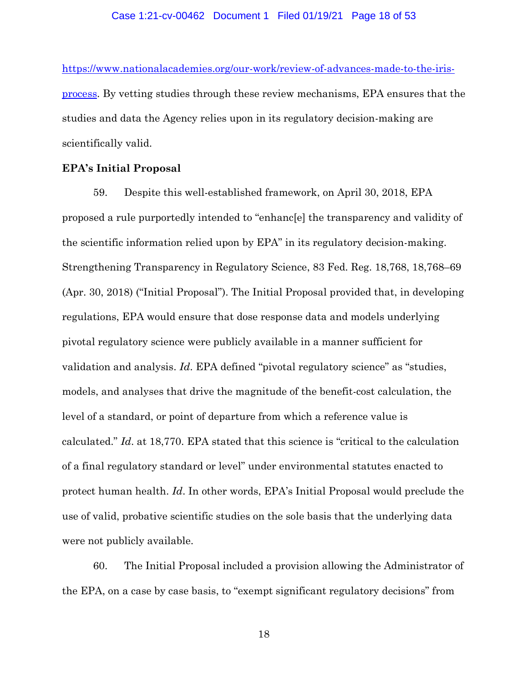### Case 1:21-cv-00462 Document 1 Filed 01/19/21 Page 18 of 53

[https://www.nationalacademies.org/our-work/review-of-advances-made-to-the-iris](https://www.nationalacademies.org/our-work/review-of-advances-made-to-the-iris-process)[process.](https://www.nationalacademies.org/our-work/review-of-advances-made-to-the-iris-process) By vetting studies through these review mechanisms, EPA ensures that the studies and data the Agency relies upon in its regulatory decision-making are scientifically valid.

## **EPA's Initial Proposal**

59. Despite this well-established framework, on April 30, 2018, EPA proposed a rule purportedly intended to "enhanc[e] the transparency and validity of the scientific information relied upon by EPA" in its regulatory decision-making. Strengthening Transparency in Regulatory Science, 83 Fed. Reg. 18,768, 18,768–69 (Apr. 30, 2018) ("Initial Proposal"). The Initial Proposal provided that, in developing regulations, EPA would ensure that dose response data and models underlying pivotal regulatory science were publicly available in a manner sufficient for validation and analysis. *Id*. EPA defined "pivotal regulatory science" as "studies, models, and analyses that drive the magnitude of the benefit-cost calculation, the level of a standard, or point of departure from which a reference value is calculated." *Id*. at 18,770. EPA stated that this science is "critical to the calculation of a final regulatory standard or level" under environmental statutes enacted to protect human health. *Id*. In other words, EPA's Initial Proposal would preclude the use of valid, probative scientific studies on the sole basis that the underlying data were not publicly available.

60. The Initial Proposal included a provision allowing the Administrator of the EPA, on a case by case basis, to "exempt significant regulatory decisions" from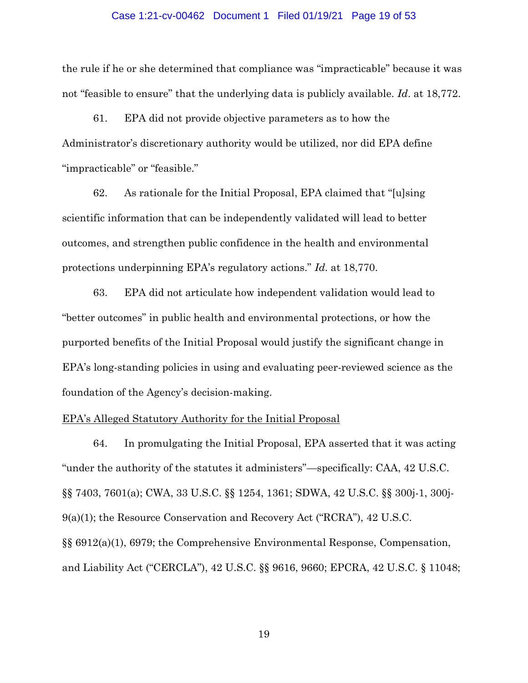### Case 1:21-cv-00462 Document 1 Filed 01/19/21 Page 19 of 53

the rule if he or she determined that compliance was "impracticable" because it was not "feasible to ensure" that the underlying data is publicly available. *Id*. at 18,772.

61. EPA did not provide objective parameters as to how the Administrator's discretionary authority would be utilized, nor did EPA define "impracticable" or "feasible."

62. As rationale for the Initial Proposal, EPA claimed that "[u]sing scientific information that can be independently validated will lead to better outcomes, and strengthen public confidence in the health and environmental protections underpinning EPA's regulatory actions." *Id*. at 18,770.

63. EPA did not articulate how independent validation would lead to "better outcomes" in public health and environmental protections, or how the purported benefits of the Initial Proposal would justify the significant change in EPA's long-standing policies in using and evaluating peer-reviewed science as the foundation of the Agency's decision-making.

### EPA's Alleged Statutory Authority for the Initial Proposal

64. In promulgating the Initial Proposal, EPA asserted that it was acting "under the authority of the statutes it administers"—specifically: CAA, 42 U.S.C. §§ 7403, 7601(a); CWA, 33 U.S.C. §§ 1254, 1361; SDWA, 42 U.S.C. §§ 300j-1, 300j-9(a)(1); the Resource Conservation and Recovery Act ("RCRA"), 42 U.S.C. §§ 6912(a)(1), 6979; the Comprehensive Environmental Response, Compensation, and Liability Act ("CERCLA"), 42 U.S.C. §§ 9616, 9660; EPCRA, 42 U.S.C. § 11048;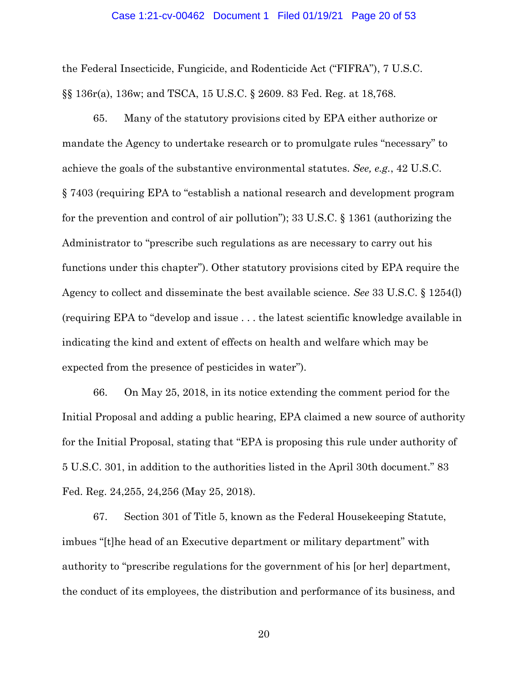#### Case 1:21-cv-00462 Document 1 Filed 01/19/21 Page 20 of 53

the Federal Insecticide, Fungicide, and Rodenticide Act ("FIFRA"), 7 U.S.C. §§ 136r(a), 136w; and TSCA, 15 U.S.C. § 2609. 83 Fed. Reg. at 18,768.

65. Many of the statutory provisions cited by EPA either authorize or mandate the Agency to undertake research or to promulgate rules "necessary" to achieve the goals of the substantive environmental statutes. *See, e.g.*, 42 U.S.C. § 7403 (requiring EPA to "establish a national research and development program for the prevention and control of air pollution"); 33 U.S.C. § 1361 (authorizing the Administrator to "prescribe such regulations as are necessary to carry out his functions under this chapter"). Other statutory provisions cited by EPA require the Agency to collect and disseminate the best available science. *See* 33 U.S.C. § 1254(l) (requiring EPA to "develop and issue . . . the latest scientific knowledge available in indicating the kind and extent of effects on health and welfare which may be expected from the presence of pesticides in water").

66. On May 25, 2018, in its notice extending the comment period for the Initial Proposal and adding a public hearing, EPA claimed a new source of authority for the Initial Proposal, stating that "EPA is proposing this rule under authority of 5 U.S.C. 301, in addition to the authorities listed in the April 30th document." 83 Fed. Reg. 24,255, 24,256 (May 25, 2018).

67. Section 301 of Title 5, known as the Federal Housekeeping Statute, imbues "[t]he head of an Executive department or military department" with authority to "prescribe regulations for the government of his [or her] department, the conduct of its employees, the distribution and performance of its business, and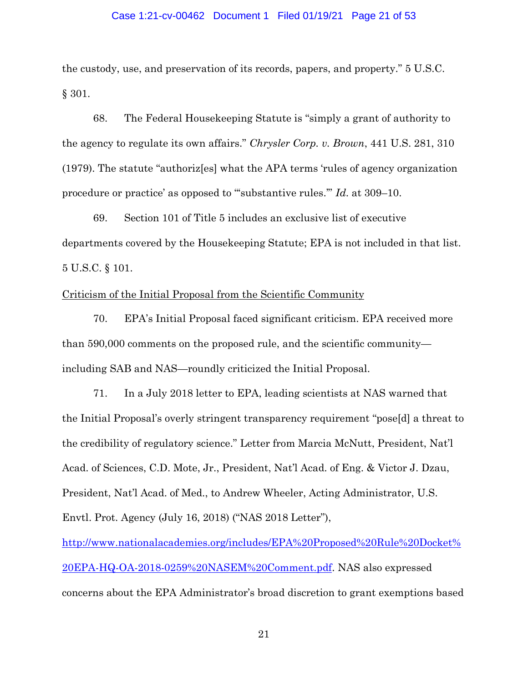### Case 1:21-cv-00462 Document 1 Filed 01/19/21 Page 21 of 53

the custody, use, and preservation of its records, papers, and property." 5 U.S.C. § 301.

68. The Federal Housekeeping Statute is "simply a grant of authority to the agency to regulate its own affairs." *Chrysler Corp. v. Brown*, 441 U.S. 281, 310 (1979). The statute "authoriz[es] what the APA terms 'rules of agency organization procedure or practice' as opposed to "'substantive rules.'" *Id*. at 309–10.

69. Section 101 of Title 5 includes an exclusive list of executive departments covered by the Housekeeping Statute; EPA is not included in that list. 5 U.S.C. § 101.

## Criticism of the Initial Proposal from the Scientific Community

70. EPA's Initial Proposal faced significant criticism. EPA received more than 590,000 comments on the proposed rule, and the scientific community including SAB and NAS—roundly criticized the Initial Proposal.

71. In a July 2018 letter to EPA, leading scientists at NAS warned that the Initial Proposal's overly stringent transparency requirement "pose[d] a threat to the credibility of regulatory science." Letter from Marcia McNutt, President, Nat'l Acad. of Sciences, C.D. Mote, Jr., President, Nat'l Acad. of Eng. & Victor J. Dzau, President, Nat'l Acad. of Med., to Andrew Wheeler, Acting Administrator, U.S. Envtl. Prot. Agency (July 16, 2018) ("NAS 2018 Letter"),

[http://www.nationalacademies.org/includes/EPA%20Proposed%20Rule%20Docket%](http://www.nationalacademies.org/includes/EPA%20Proposed%20Rule%20Docket%20EPA-HQ-OA-2018-0259%20NASEM%20Comment.pdf) [20EPA-HQ-OA-2018-0259%20NASEM%20Comment.pdf.](http://www.nationalacademies.org/includes/EPA%20Proposed%20Rule%20Docket%20EPA-HQ-OA-2018-0259%20NASEM%20Comment.pdf) NAS also expressed concerns about the EPA Administrator's broad discretion to grant exemptions based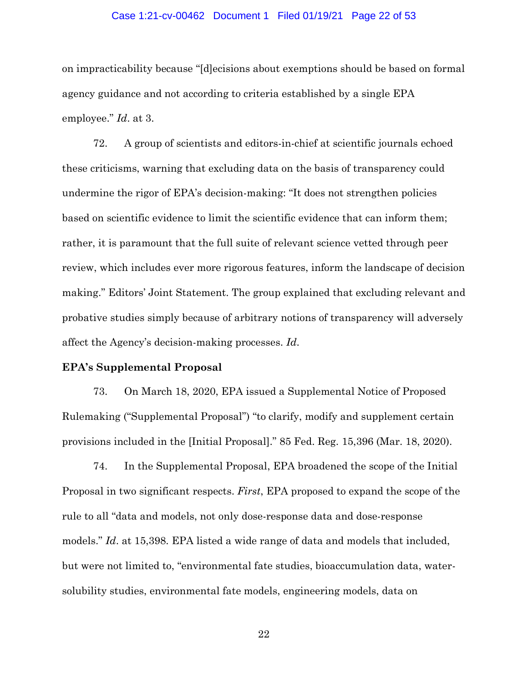#### Case 1:21-cv-00462 Document 1 Filed 01/19/21 Page 22 of 53

on impracticability because "[d]ecisions about exemptions should be based on formal agency guidance and not according to criteria established by a single EPA employee." *Id*. at 3.

72. A group of scientists and editors-in-chief at scientific journals echoed these criticisms, warning that excluding data on the basis of transparency could undermine the rigor of EPA's decision-making: "It does not strengthen policies based on scientific evidence to limit the scientific evidence that can inform them; rather, it is paramount that the full suite of relevant science vetted through peer review, which includes ever more rigorous features, inform the landscape of decision making." Editors' Joint Statement. The group explained that excluding relevant and probative studies simply because of arbitrary notions of transparency will adversely affect the Agency's decision-making processes. *Id*.

## **EPA's Supplemental Proposal**

73. On March 18, 2020, EPA issued a Supplemental Notice of Proposed Rulemaking ("Supplemental Proposal") "to clarify, modify and supplement certain provisions included in the [Initial Proposal]." 85 Fed. Reg. 15,396 (Mar. 18, 2020).

74. In the Supplemental Proposal, EPA broadened the scope of the Initial Proposal in two significant respects. *First*, EPA proposed to expand the scope of the rule to all "data and models, not only dose-response data and dose-response models." *Id*. at 15,398. EPA listed a wide range of data and models that included, but were not limited to, "environmental fate studies, bioaccumulation data, watersolubility studies, environmental fate models, engineering models, data on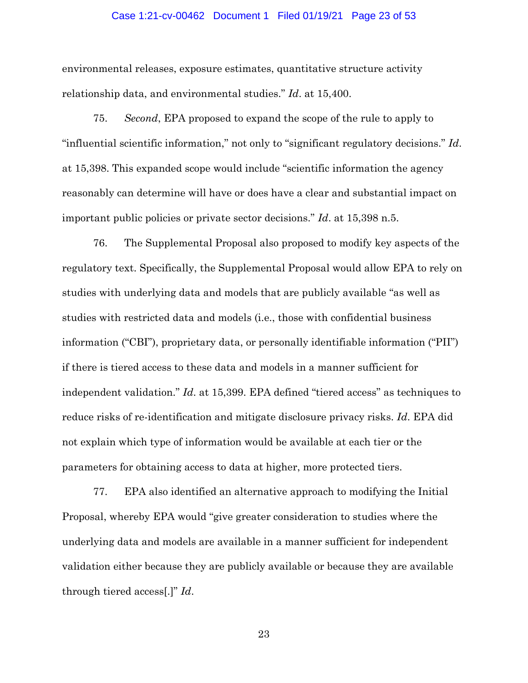### Case 1:21-cv-00462 Document 1 Filed 01/19/21 Page 23 of 53

environmental releases, exposure estimates, quantitative structure activity relationship data, and environmental studies." *Id*. at 15,400.

75. *Second*, EPA proposed to expand the scope of the rule to apply to "influential scientific information," not only to "significant regulatory decisions." *Id*. at 15,398. This expanded scope would include "scientific information the agency reasonably can determine will have or does have a clear and substantial impact on important public policies or private sector decisions." *Id*. at 15,398 n.5.

76. The Supplemental Proposal also proposed to modify key aspects of the regulatory text. Specifically, the Supplemental Proposal would allow EPA to rely on studies with underlying data and models that are publicly available "as well as studies with restricted data and models (i.e., those with confidential business information ("CBI"), proprietary data, or personally identifiable information ("PII") if there is tiered access to these data and models in a manner sufficient for independent validation." *Id*. at 15,399. EPA defined "tiered access" as techniques to reduce risks of re-identification and mitigate disclosure privacy risks. *Id*. EPA did not explain which type of information would be available at each tier or the parameters for obtaining access to data at higher, more protected tiers.

77. EPA also identified an alternative approach to modifying the Initial Proposal, whereby EPA would "give greater consideration to studies where the underlying data and models are available in a manner sufficient for independent validation either because they are publicly available or because they are available through tiered access[.]" *Id*.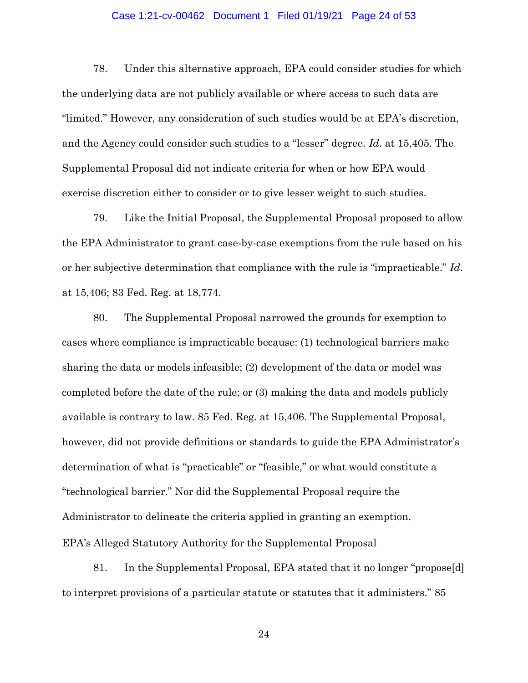#### Case 1:21-cv-00462 Document 1 Filed 01/19/21 Page 24 of 53

78. Under this alternative approach, EPA could consider studies for which the underlying data are not publicly available or where access to such data are "limited." However, any consideration of such studies would be at EPA's discretion, and the Agency could consider such studies to a "lesser" degree. *Id*. at 15,405. The Supplemental Proposal did not indicate criteria for when or how EPA would exercise discretion either to consider or to give lesser weight to such studies.

79. Like the Initial Proposal, the Supplemental Proposal proposed to allow the EPA Administrator to grant case-by-case exemptions from the rule based on his or her subjective determination that compliance with the rule is "impracticable." *Id*. at 15,406; 83 Fed. Reg. at 18,774.

80. The Supplemental Proposal narrowed the grounds for exemption to cases where compliance is impracticable because: (1) technological barriers make sharing the data or models infeasible; (2) development of the data or model was completed before the date of the rule; or (3) making the data and models publicly available is contrary to law. 85 Fed. Reg. at 15,406. The Supplemental Proposal, however, did not provide definitions or standards to guide the EPA Administrator's determination of what is "practicable" or "feasible," or what would constitute a "technological barrier." Nor did the Supplemental Proposal require the Administrator to delineate the criteria applied in granting an exemption.

### EPA's Alleged Statutory Authority for the Supplemental Proposal

81. In the Supplemental Proposal, EPA stated that it no longer "propose[d] to interpret provisions of a particular statute or statutes that it administers." 85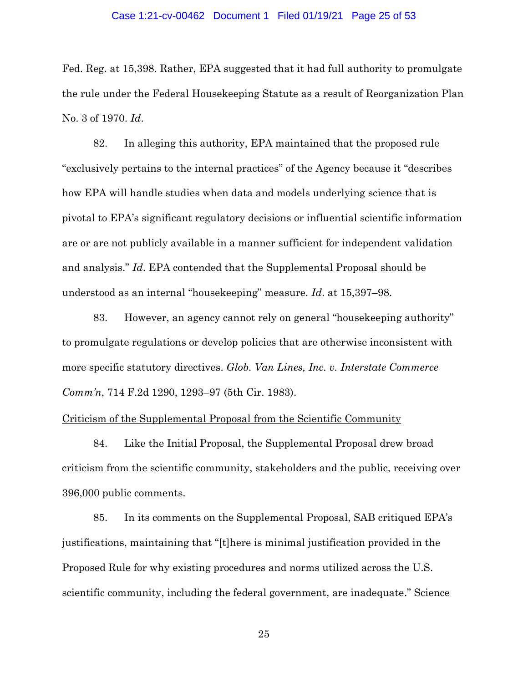#### Case 1:21-cv-00462 Document 1 Filed 01/19/21 Page 25 of 53

Fed. Reg. at 15,398. Rather, EPA suggested that it had full authority to promulgate the rule under the Federal Housekeeping Statute as a result of Reorganization Plan No. 3 of 1970. *Id*.

82. In alleging this authority, EPA maintained that the proposed rule "exclusively pertains to the internal practices" of the Agency because it "describes how EPA will handle studies when data and models underlying science that is pivotal to EPA's significant regulatory decisions or influential scientific information are or are not publicly available in a manner sufficient for independent validation and analysis." *Id*. EPA contended that the Supplemental Proposal should be understood as an internal "housekeeping" measure. *Id*. at 15,397–98.

83. However, an agency cannot rely on general "housekeeping authority" to promulgate regulations or develop policies that are otherwise inconsistent with more specific statutory directives. *Glob. Van Lines, Inc. v. Interstate Commerce Comm'n*, 714 F.2d 1290, 1293–97 (5th Cir. 1983).

## Criticism of the Supplemental Proposal from the Scientific Community

84. Like the Initial Proposal, the Supplemental Proposal drew broad criticism from the scientific community, stakeholders and the public, receiving over 396,000 public comments.

85. In its comments on the Supplemental Proposal, SAB critiqued EPA's justifications, maintaining that "[t]here is minimal justification provided in the Proposed Rule for why existing procedures and norms utilized across the U.S. scientific community, including the federal government, are inadequate." Science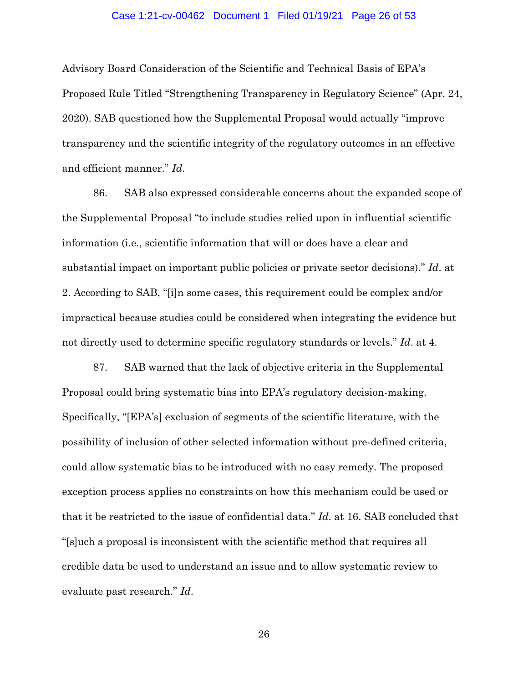#### Case 1:21-cv-00462 Document 1 Filed 01/19/21 Page 26 of 53

Advisory Board Consideration of the Scientific and Technical Basis of EPA's Proposed Rule Titled "Strengthening Transparency in Regulatory Science" (Apr. 24, 2020). SAB questioned how the Supplemental Proposal would actually "improve transparency and the scientific integrity of the regulatory outcomes in an effective and efficient manner." *Id*.

86. SAB also expressed considerable concerns about the expanded scope of the Supplemental Proposal "to include studies relied upon in influential scientific information (i.e., scientific information that will or does have a clear and substantial impact on important public policies or private sector decisions)." *Id*. at 2. According to SAB, "[i]n some cases, this requirement could be complex and/or impractical because studies could be considered when integrating the evidence but not directly used to determine specific regulatory standards or levels." *Id*. at 4.

87. SAB warned that the lack of objective criteria in the Supplemental Proposal could bring systematic bias into EPA's regulatory decision-making. Specifically, "[EPA's] exclusion of segments of the scientific literature, with the possibility of inclusion of other selected information without pre-defined criteria, could allow systematic bias to be introduced with no easy remedy. The proposed exception process applies no constraints on how this mechanism could be used or that it be restricted to the issue of confidential data." *Id*. at 16. SAB concluded that "[s]uch a proposal is inconsistent with the scientific method that requires all credible data be used to understand an issue and to allow systematic review to evaluate past research." *Id*.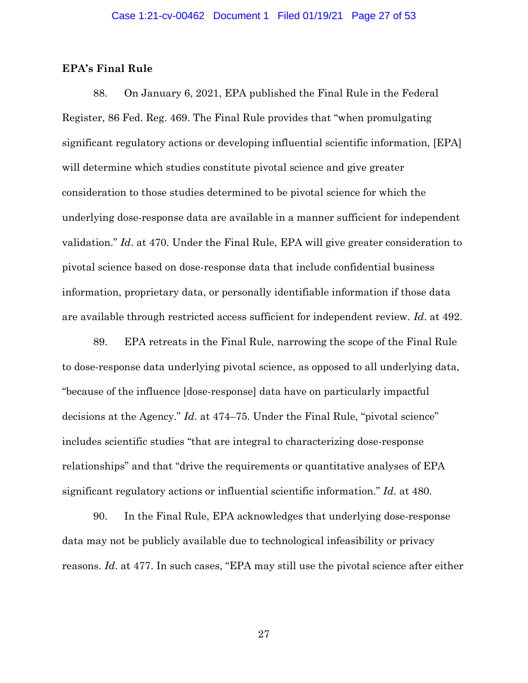## **EPA's Final Rule**

88. On January 6, 2021, EPA published the Final Rule in the Federal Register, 86 Fed. Reg. 469. The Final Rule provides that "when promulgating significant regulatory actions or developing influential scientific information, [EPA] will determine which studies constitute pivotal science and give greater consideration to those studies determined to be pivotal science for which the underlying dose-response data are available in a manner sufficient for independent validation." *Id*. at 470. Under the Final Rule, EPA will give greater consideration to pivotal science based on dose-response data that include confidential business information, proprietary data, or personally identifiable information if those data are available through restricted access sufficient for independent review. *Id*. at 492.

89. EPA retreats in the Final Rule, narrowing the scope of the Final Rule to dose-response data underlying pivotal science, as opposed to all underlying data, "because of the influence [dose-response] data have on particularly impactful decisions at the Agency." *Id*. at 474–75. Under the Final Rule, "pivotal science" includes scientific studies "that are integral to characterizing dose-response relationships" and that "drive the requirements or quantitative analyses of EPA significant regulatory actions or influential scientific information." *Id*. at 480.

90. In the Final Rule, EPA acknowledges that underlying dose-response data may not be publicly available due to technological infeasibility or privacy reasons. *Id*. at 477. In such cases, "EPA may still use the pivotal science after either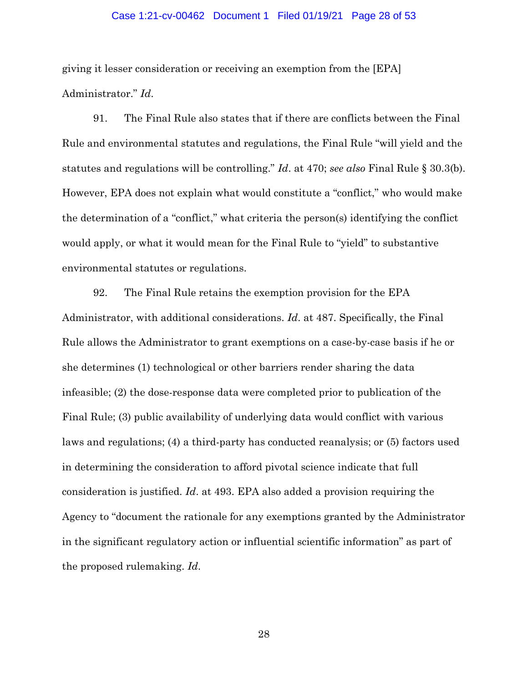#### Case 1:21-cv-00462 Document 1 Filed 01/19/21 Page 28 of 53

giving it lesser consideration or receiving an exemption from the [EPA] Administrator." *Id*.

91. The Final Rule also states that if there are conflicts between the Final Rule and environmental statutes and regulations, the Final Rule "will yield and the statutes and regulations will be controlling." *Id*. at 470; *see also* Final Rule § 30.3(b). However, EPA does not explain what would constitute a "conflict," who would make the determination of a "conflict," what criteria the person(s) identifying the conflict would apply, or what it would mean for the Final Rule to "yield" to substantive environmental statutes or regulations.

92. The Final Rule retains the exemption provision for the EPA Administrator, with additional considerations. *Id*. at 487. Specifically, the Final Rule allows the Administrator to grant exemptions on a case-by-case basis if he or she determines (1) technological or other barriers render sharing the data infeasible; (2) the dose-response data were completed prior to publication of the Final Rule; (3) public availability of underlying data would conflict with various laws and regulations; (4) a third-party has conducted reanalysis; or (5) factors used in determining the consideration to afford pivotal science indicate that full consideration is justified. *Id*. at 493. EPA also added a provision requiring the Agency to "document the rationale for any exemptions granted by the Administrator in the significant regulatory action or influential scientific information" as part of the proposed rulemaking. *Id*.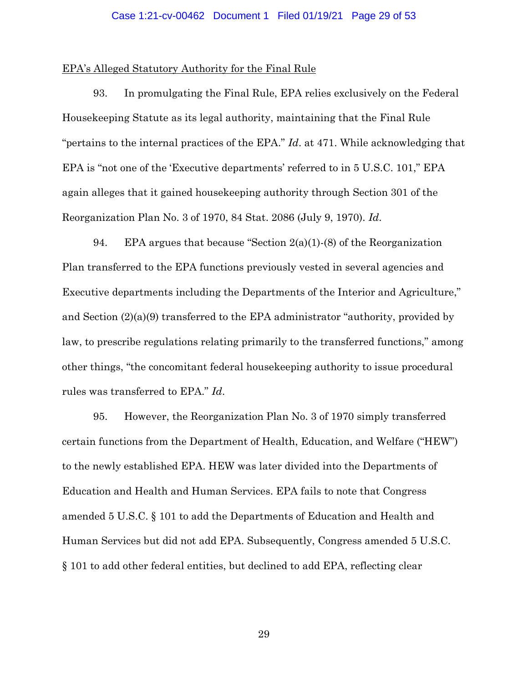#### Case 1:21-cv-00462 Document 1 Filed 01/19/21 Page 29 of 53

### EPA's Alleged Statutory Authority for the Final Rule

93. In promulgating the Final Rule, EPA relies exclusively on the Federal Housekeeping Statute as its legal authority, maintaining that the Final Rule "pertains to the internal practices of the EPA." *Id*. at 471. While acknowledging that EPA is "not one of the 'Executive departments' referred to in 5 U.S.C. 101," EPA again alleges that it gained housekeeping authority through Section 301 of the Reorganization Plan No. 3 of 1970, 84 Stat. 2086 (July 9, 1970). *Id*.

94. EPA argues that because "Section  $2(a)(1)$ -(8) of the Reorganization Plan transferred to the EPA functions previously vested in several agencies and Executive departments including the Departments of the Interior and Agriculture," and Section (2)(a)(9) transferred to the EPA administrator "authority, provided by law, to prescribe regulations relating primarily to the transferred functions," among other things, "the concomitant federal housekeeping authority to issue procedural rules was transferred to EPA." *Id*.

95. However, the Reorganization Plan No. 3 of 1970 simply transferred certain functions from the Department of Health, Education, and Welfare ("HEW") to the newly established EPA. HEW was later divided into the Departments of Education and Health and Human Services. EPA fails to note that Congress amended 5 U.S.C. § 101 to add the Departments of Education and Health and Human Services but did not add EPA. Subsequently, Congress amended 5 U.S.C. § 101 to add other federal entities, but declined to add EPA, reflecting clear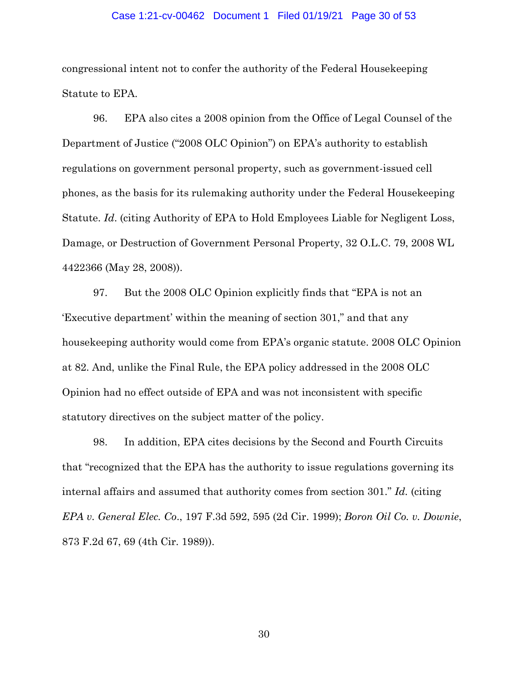#### Case 1:21-cv-00462 Document 1 Filed 01/19/21 Page 30 of 53

congressional intent not to confer the authority of the Federal Housekeeping Statute to EPA.

96. EPA also cites a 2008 opinion from the Office of Legal Counsel of the Department of Justice ("2008 OLC Opinion") on EPA's authority to establish regulations on government personal property, such as government-issued cell phones, as the basis for its rulemaking authority under the Federal Housekeeping Statute. *Id*. (citing Authority of EPA to Hold Employees Liable for Negligent Loss, Damage, or Destruction of Government Personal Property, 32 O.L.C. 79, 2008 WL 4422366 (May 28, 2008)).

97. But the 2008 OLC Opinion explicitly finds that "EPA is not an 'Executive department' within the meaning of section 301," and that any housekeeping authority would come from EPA's organic statute. 2008 OLC Opinion at 82. And, unlike the Final Rule, the EPA policy addressed in the 2008 OLC Opinion had no effect outside of EPA and was not inconsistent with specific statutory directives on the subject matter of the policy.

98. In addition, EPA cites decisions by the Second and Fourth Circuits that "recognized that the EPA has the authority to issue regulations governing its internal affairs and assumed that authority comes from section 301." *Id.* (citing *EPA v. General Elec. Co*., 197 F.3d 592, 595 (2d Cir. 1999); *Boron Oil Co. v. Downie*, 873 F.2d 67, 69 (4th Cir. 1989)).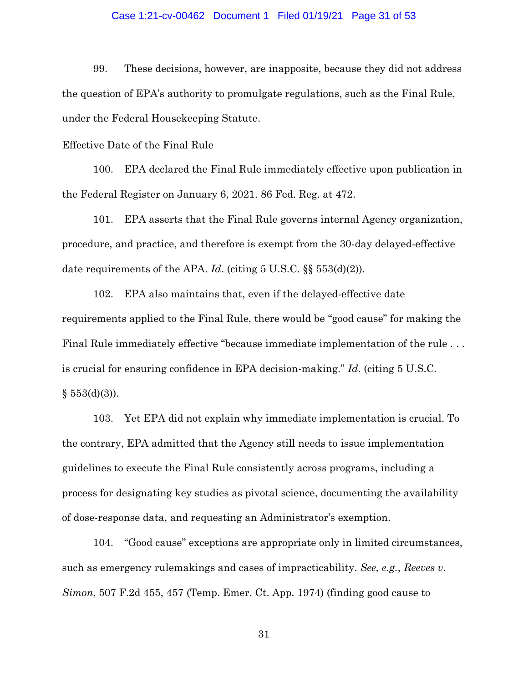### Case 1:21-cv-00462 Document 1 Filed 01/19/21 Page 31 of 53

99. These decisions, however, are inapposite, because they did not address the question of EPA's authority to promulgate regulations, such as the Final Rule, under the Federal Housekeeping Statute.

### Effective Date of the Final Rule

100. EPA declared the Final Rule immediately effective upon publication in the Federal Register on January 6, 2021. 86 Fed. Reg. at 472.

101. EPA asserts that the Final Rule governs internal Agency organization, procedure, and practice, and therefore is exempt from the 30-day delayed-effective date requirements of the APA. *Id*. (citing 5 U.S.C. §§ 553(d)(2)).

102. EPA also maintains that, even if the delayed-effective date requirements applied to the Final Rule, there would be "good cause" for making the Final Rule immediately effective "because immediate implementation of the rule . . . is crucial for ensuring confidence in EPA decision-making." *Id*. (citing 5 U.S.C.  $§ 553(d)(3)$ .

103. Yet EPA did not explain why immediate implementation is crucial. To the contrary, EPA admitted that the Agency still needs to issue implementation guidelines to execute the Final Rule consistently across programs, including a process for designating key studies as pivotal science, documenting the availability of dose-response data, and requesting an Administrator's exemption.

104. "Good cause" exceptions are appropriate only in limited circumstances, such as emergency rulemakings and cases of impracticability. *See, e.g.*, *Reeves v. Simon*, 507 F.2d 455, 457 (Temp. Emer. Ct. App. 1974) (finding good cause to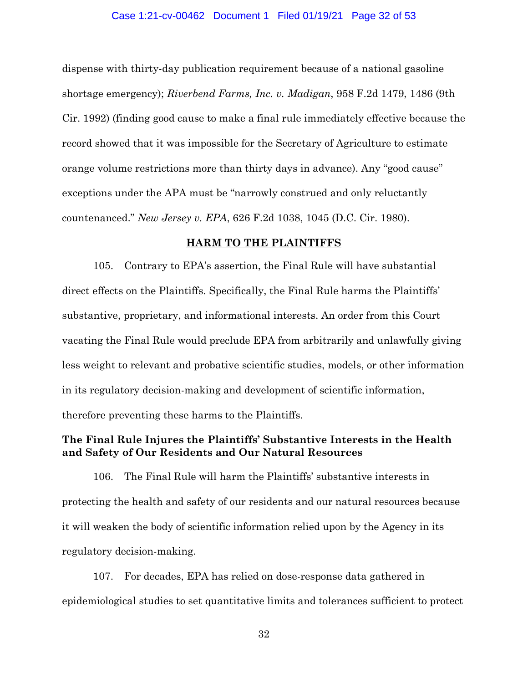#### Case 1:21-cv-00462 Document 1 Filed 01/19/21 Page 32 of 53

dispense with thirty-day publication requirement because of a national gasoline shortage emergency); *Riverbend Farms, Inc. v. Madigan*, 958 F.2d 1479, 1486 (9th Cir. 1992) (finding good cause to make a final rule immediately effective because the record showed that it was impossible for the Secretary of Agriculture to estimate orange volume restrictions more than thirty days in advance). Any "good cause" exceptions under the APA must be "narrowly construed and only reluctantly countenanced." *New Jersey v. EPA*, 626 F.2d 1038, 1045 (D.C. Cir. 1980).

## **HARM TO THE PLAINTIFFS**

105. Contrary to EPA's assertion, the Final Rule will have substantial direct effects on the Plaintiffs. Specifically, the Final Rule harms the Plaintiffs' substantive, proprietary, and informational interests. An order from this Court vacating the Final Rule would preclude EPA from arbitrarily and unlawfully giving less weight to relevant and probative scientific studies, models, or other information in its regulatory decision-making and development of scientific information, therefore preventing these harms to the Plaintiffs.

## **The Final Rule Injures the Plaintiffs' Substantive Interests in the Health and Safety of Our Residents and Our Natural Resources**

106. The Final Rule will harm the Plaintiffs' substantive interests in protecting the health and safety of our residents and our natural resources because it will weaken the body of scientific information relied upon by the Agency in its regulatory decision-making.

107. For decades, EPA has relied on dose-response data gathered in epidemiological studies to set quantitative limits and tolerances sufficient to protect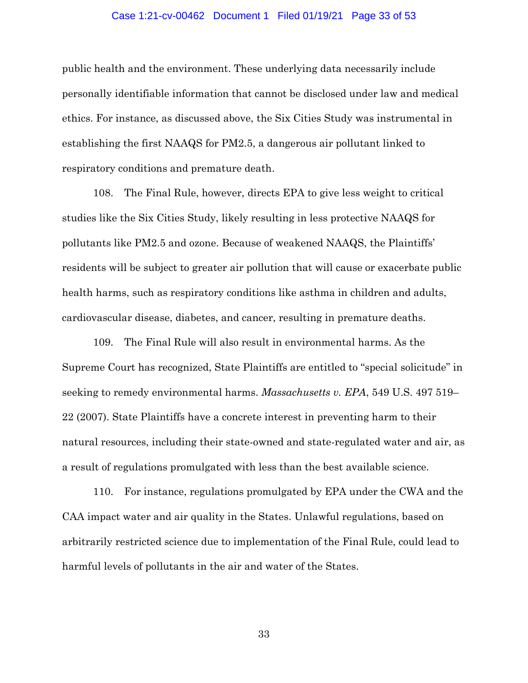#### Case 1:21-cv-00462 Document 1 Filed 01/19/21 Page 33 of 53

public health and the environment. These underlying data necessarily include personally identifiable information that cannot be disclosed under law and medical ethics. For instance, as discussed above, the Six Cities Study was instrumental in establishing the first NAAQS for PM2.5, a dangerous air pollutant linked to respiratory conditions and premature death.

108. The Final Rule, however, directs EPA to give less weight to critical studies like the Six Cities Study, likely resulting in less protective NAAQS for pollutants like PM2.5 and ozone. Because of weakened NAAQS, the Plaintiffs' residents will be subject to greater air pollution that will cause or exacerbate public health harms, such as respiratory conditions like asthma in children and adults, cardiovascular disease, diabetes, and cancer, resulting in premature deaths.

109. The Final Rule will also result in environmental harms. As the Supreme Court has recognized, State Plaintiffs are entitled to "special solicitude" in seeking to remedy environmental harms. *Massachusetts v. EPA*, 549 U.S. 497 519– 22 (2007). State Plaintiffs have a concrete interest in preventing harm to their natural resources, including their state-owned and state-regulated water and air, as a result of regulations promulgated with less than the best available science.

110. For instance, regulations promulgated by EPA under the CWA and the CAA impact water and air quality in the States. Unlawful regulations, based on arbitrarily restricted science due to implementation of the Final Rule, could lead to harmful levels of pollutants in the air and water of the States.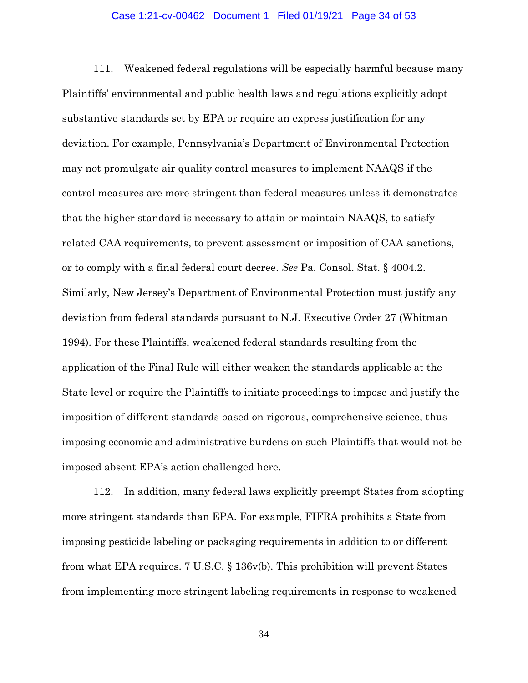### Case 1:21-cv-00462 Document 1 Filed 01/19/21 Page 34 of 53

111. Weakened federal regulations will be especially harmful because many Plaintiffs' environmental and public health laws and regulations explicitly adopt substantive standards set by EPA or require an express justification for any deviation. For example, Pennsylvania's Department of Environmental Protection may not promulgate air quality control measures to implement NAAQS if the control measures are more stringent than federal measures unless it demonstrates that the higher standard is necessary to attain or maintain NAAQS, to satisfy related CAA requirements, to prevent assessment or imposition of CAA sanctions, or to comply with a final federal court decree. *See* Pa. Consol. Stat. § 4004.2. Similarly, New Jersey's Department of Environmental Protection must justify any deviation from federal standards pursuant to N.J. Executive Order 27 (Whitman 1994). For these Plaintiffs, weakened federal standards resulting from the application of the Final Rule will either weaken the standards applicable at the State level or require the Plaintiffs to initiate proceedings to impose and justify the imposition of different standards based on rigorous, comprehensive science, thus imposing economic and administrative burdens on such Plaintiffs that would not be imposed absent EPA's action challenged here.

112. In addition, many federal laws explicitly preempt States from adopting more stringent standards than EPA. For example, FIFRA prohibits a State from imposing pesticide labeling or packaging requirements in addition to or different from what EPA requires. 7 U.S.C. § 136v(b). This prohibition will prevent States from implementing more stringent labeling requirements in response to weakened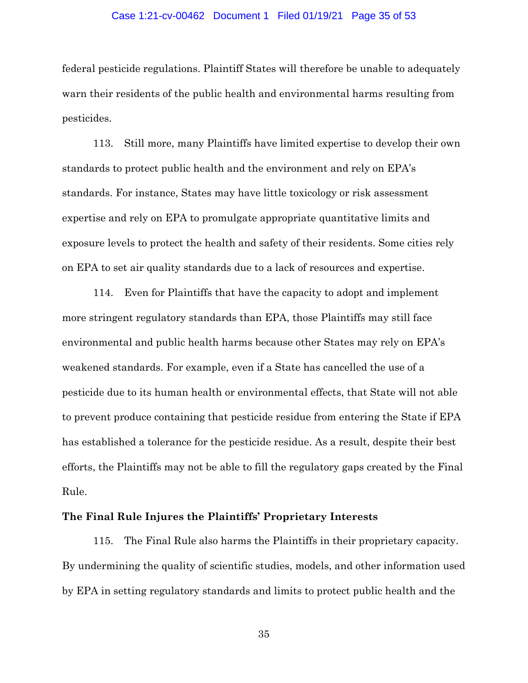#### Case 1:21-cv-00462 Document 1 Filed 01/19/21 Page 35 of 53

federal pesticide regulations. Plaintiff States will therefore be unable to adequately warn their residents of the public health and environmental harms resulting from pesticides.

113. Still more, many Plaintiffs have limited expertise to develop their own standards to protect public health and the environment and rely on EPA's standards. For instance, States may have little toxicology or risk assessment expertise and rely on EPA to promulgate appropriate quantitative limits and exposure levels to protect the health and safety of their residents. Some cities rely on EPA to set air quality standards due to a lack of resources and expertise.

114. Even for Plaintiffs that have the capacity to adopt and implement more stringent regulatory standards than EPA, those Plaintiffs may still face environmental and public health harms because other States may rely on EPA's weakened standards. For example, even if a State has cancelled the use of a pesticide due to its human health or environmental effects, that State will not able to prevent produce containing that pesticide residue from entering the State if EPA has established a tolerance for the pesticide residue. As a result, despite their best efforts, the Plaintiffs may not be able to fill the regulatory gaps created by the Final Rule.

# **The Final Rule Injures the Plaintiffs' Proprietary Interests**

115. The Final Rule also harms the Plaintiffs in their proprietary capacity. By undermining the quality of scientific studies, models, and other information used by EPA in setting regulatory standards and limits to protect public health and the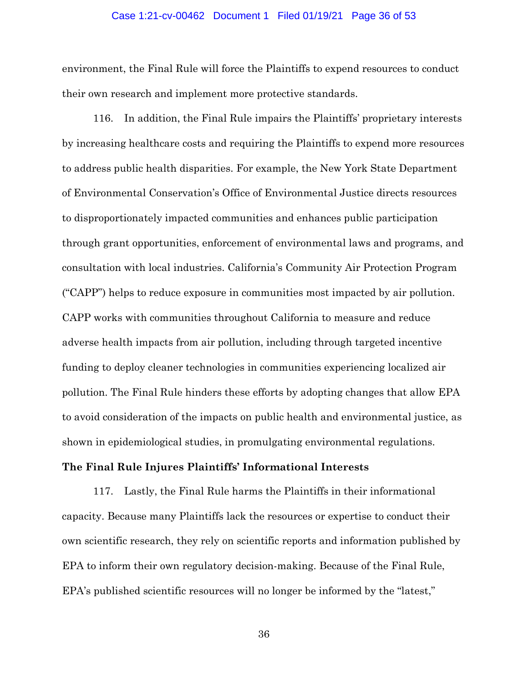### Case 1:21-cv-00462 Document 1 Filed 01/19/21 Page 36 of 53

environment, the Final Rule will force the Plaintiffs to expend resources to conduct their own research and implement more protective standards.

116. In addition, the Final Rule impairs the Plaintiffs' proprietary interests by increasing healthcare costs and requiring the Plaintiffs to expend more resources to address public health disparities. For example, the New York State Department of Environmental Conservation's Office of Environmental Justice directs resources to disproportionately impacted communities and enhances public participation through grant opportunities, enforcement of environmental laws and programs, and consultation with local industries. California's Community Air Protection Program ("CAPP") helps to reduce exposure in communities most impacted by air pollution. CAPP works with communities throughout California to measure and reduce adverse health impacts from air pollution, including through targeted incentive funding to deploy cleaner technologies in communities experiencing localized air pollution. The Final Rule hinders these efforts by adopting changes that allow EPA to avoid consideration of the impacts on public health and environmental justice, as shown in epidemiological studies, in promulgating environmental regulations.

## **The Final Rule Injures Plaintiffs' Informational Interests**

117. Lastly, the Final Rule harms the Plaintiffs in their informational capacity. Because many Plaintiffs lack the resources or expertise to conduct their own scientific research, they rely on scientific reports and information published by EPA to inform their own regulatory decision-making. Because of the Final Rule, EPA's published scientific resources will no longer be informed by the "latest,"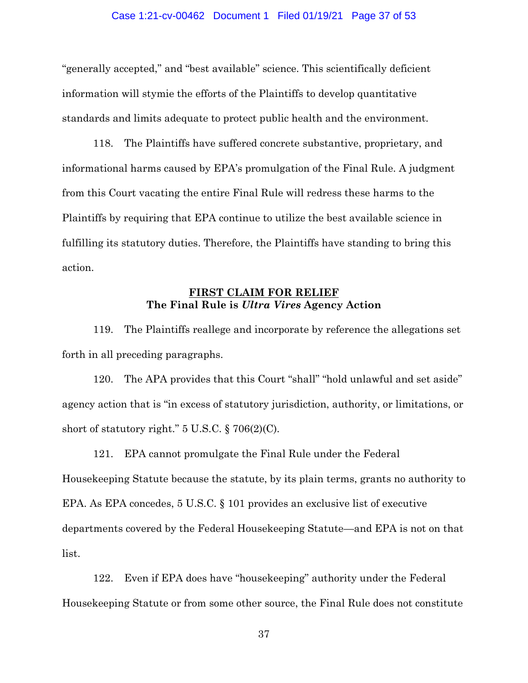### Case 1:21-cv-00462 Document 1 Filed 01/19/21 Page 37 of 53

"generally accepted," and "best available" science. This scientifically deficient information will stymie the efforts of the Plaintiffs to develop quantitative standards and limits adequate to protect public health and the environment.

118. The Plaintiffs have suffered concrete substantive, proprietary, and informational harms caused by EPA's promulgation of the Final Rule. A judgment from this Court vacating the entire Final Rule will redress these harms to the Plaintiffs by requiring that EPA continue to utilize the best available science in fulfilling its statutory duties. Therefore, the Plaintiffs have standing to bring this action.

# **FIRST CLAIM FOR RELIEF The Final Rule is** *Ultra Vires* **Agency Action**

119. The Plaintiffs reallege and incorporate by reference the allegations set forth in all preceding paragraphs.

120. The APA provides that this Court "shall" "hold unlawful and set aside" agency action that is "in excess of statutory jurisdiction, authority, or limitations, or short of statutory right."  $5 \text{ U.S.C.} \$   $706(2)(\text{C}).$ 

121. EPA cannot promulgate the Final Rule under the Federal Housekeeping Statute because the statute, by its plain terms, grants no authority to EPA. As EPA concedes, 5 U.S.C. § 101 provides an exclusive list of executive departments covered by the Federal Housekeeping Statute—and EPA is not on that list.

122. Even if EPA does have "housekeeping" authority under the Federal Housekeeping Statute or from some other source, the Final Rule does not constitute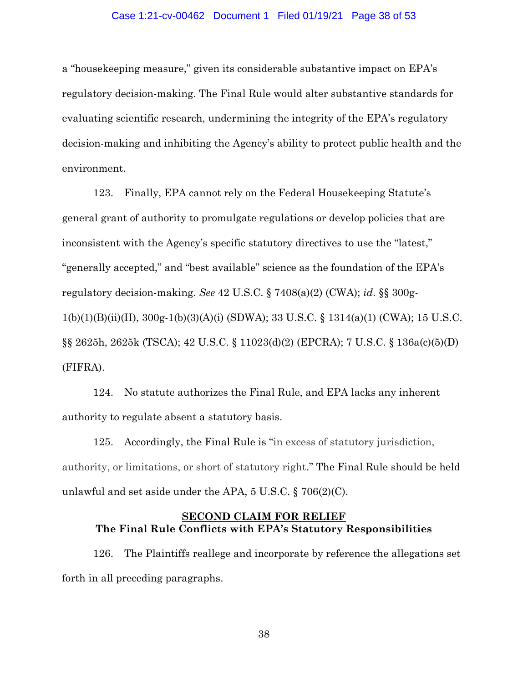### Case 1:21-cv-00462 Document 1 Filed 01/19/21 Page 38 of 53

a "housekeeping measure," given its considerable substantive impact on EPA's regulatory decision-making. The Final Rule would alter substantive standards for evaluating scientific research, undermining the integrity of the EPA's regulatory decision-making and inhibiting the Agency's ability to protect public health and the environment.

123. Finally, EPA cannot rely on the Federal Housekeeping Statute's general grant of authority to promulgate regulations or develop policies that are inconsistent with the Agency's specific statutory directives to use the "latest," "generally accepted," and "best available" science as the foundation of the EPA's regulatory decision-making. *See* 42 U.S.C. § 7408(a)(2) (CWA); *id*. §§ 300g-1(b)(1)(B)(ii)(II), 300g-1(b)(3)(A)(i) (SDWA); 33 U.S.C. § 1314(a)(1) (CWA); 15 U.S.C. §§ 2625h, 2625k (TSCA); 42 U.S.C. § 11023(d)(2) (EPCRA); 7 U.S.C. § 136a(c)(5)(D) (FIFRA).

124. No statute authorizes the Final Rule, and EPA lacks any inherent authority to regulate absent a statutory basis.

125. Accordingly, the Final Rule is "in excess of statutory jurisdiction, authority, or limitations, or short of statutory right." The Final Rule should be held unlawful and set aside under the APA, 5 U.S.C. § 706(2)(C).

## **SECOND CLAIM FOR RELIEF The Final Rule Conflicts with EPA's Statutory Responsibilities**

126. The Plaintiffs reallege and incorporate by reference the allegations set forth in all preceding paragraphs.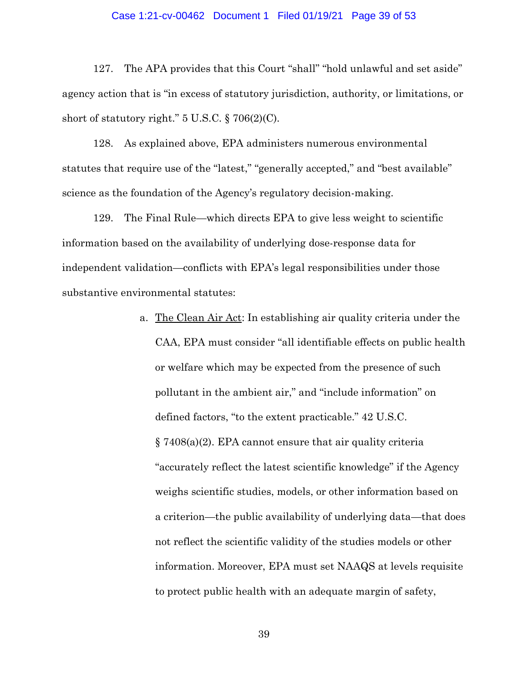### Case 1:21-cv-00462 Document 1 Filed 01/19/21 Page 39 of 53

127. The APA provides that this Court "shall" "hold unlawful and set aside" agency action that is "in excess of statutory jurisdiction, authority, or limitations, or short of statutory right."  $5 \text{ U.S.C.} \$   $706(2)(\text{C}).$ 

128. As explained above, EPA administers numerous environmental statutes that require use of the "latest," "generally accepted," and "best available" science as the foundation of the Agency's regulatory decision-making.

129. The Final Rule—which directs EPA to give less weight to scientific information based on the availability of underlying dose-response data for independent validation—conflicts with EPA's legal responsibilities under those substantive environmental statutes:

> a. The Clean Air Act: In establishing air quality criteria under the CAA, EPA must consider "all identifiable effects on public health or welfare which may be expected from the presence of such pollutant in the ambient air," and "include information" on defined factors, "to the extent practicable." 42 U.S.C. § 7408(a)(2). EPA cannot ensure that air quality criteria "accurately reflect the latest scientific knowledge" if the Agency weighs scientific studies, models, or other information based on a criterion—the public availability of underlying data—that does not reflect the scientific validity of the studies models or other information. Moreover, EPA must set NAAQS at levels requisite to protect public health with an adequate margin of safety,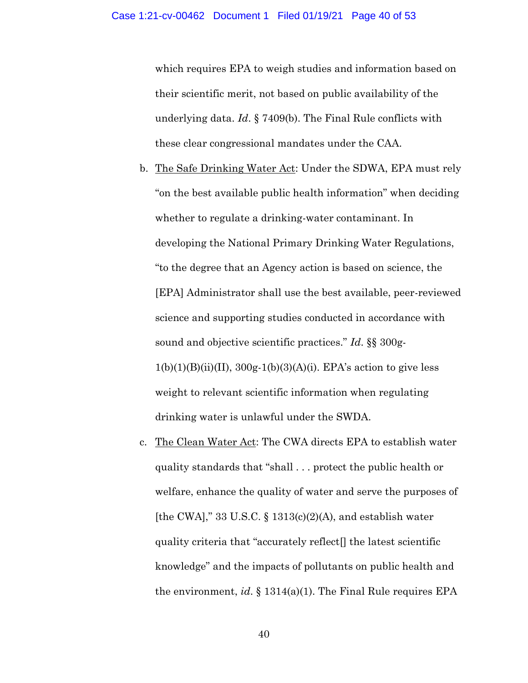which requires EPA to weigh studies and information based on their scientific merit, not based on public availability of the underlying data. *Id*. § 7409(b). The Final Rule conflicts with these clear congressional mandates under the CAA.

- b. The Safe Drinking Water Act: Under the SDWA, EPA must rely "on the best available public health information" when deciding whether to regulate a drinking-water contaminant. In developing the National Primary Drinking Water Regulations, "to the degree that an Agency action is based on science, the [EPA] Administrator shall use the best available, peer-reviewed science and supporting studies conducted in accordance with sound and objective scientific practices." *Id*. §§ 300g- $1(b)(1)(B)(ii)(II), 300g-1(b)(3)(A)(i)$ . EPA's action to give less weight to relevant scientific information when regulating drinking water is unlawful under the SWDA.
- c. The Clean Water Act: The CWA directs EPA to establish water quality standards that "shall . . . protect the public health or welfare, enhance the quality of water and serve the purposes of [the CWA]," 33 U.S.C.  $\S$  1313(c)(2)(A), and establish water quality criteria that "accurately reflect[] the latest scientific knowledge" and the impacts of pollutants on public health and the environment, *id*. § 1314(a)(1). The Final Rule requires EPA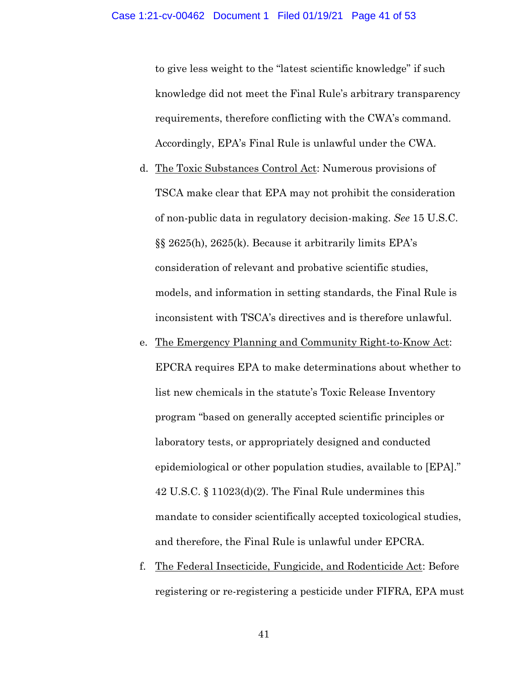to give less weight to the "latest scientific knowledge" if such knowledge did not meet the Final Rule's arbitrary transparency requirements, therefore conflicting with the CWA's command. Accordingly, EPA's Final Rule is unlawful under the CWA.

- d. The Toxic Substances Control Act: Numerous provisions of TSCA make clear that EPA may not prohibit the consideration of non-public data in regulatory decision-making. *See* 15 U.S.C. §§ 2625(h), 2625(k). Because it arbitrarily limits EPA's consideration of relevant and probative scientific studies, models, and information in setting standards, the Final Rule is inconsistent with TSCA's directives and is therefore unlawful.
- e. The Emergency Planning and Community Right-to-Know Act: EPCRA requires EPA to make determinations about whether to list new chemicals in the statute's Toxic Release Inventory program "based on generally accepted scientific principles or laboratory tests, or appropriately designed and conducted epidemiological or other population studies, available to [EPA]." 42 U.S.C. § 11023(d)(2). The Final Rule undermines this mandate to consider scientifically accepted toxicological studies, and therefore, the Final Rule is unlawful under EPCRA.
- f. The Federal Insecticide, Fungicide, and Rodenticide Act: Before registering or re-registering a pesticide under FIFRA, EPA must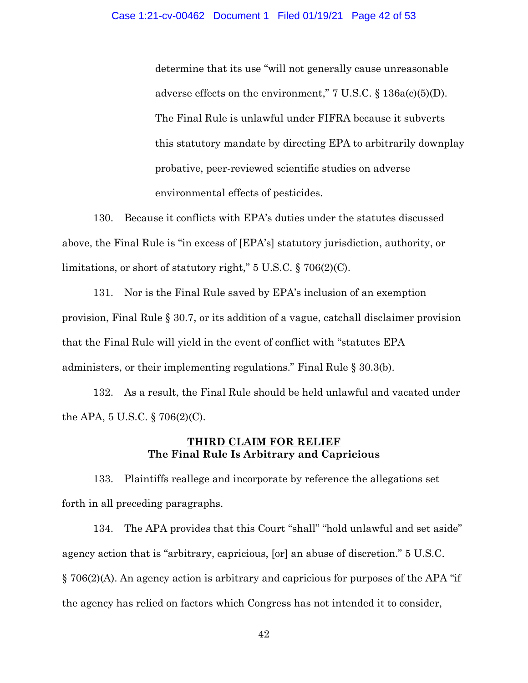determine that its use "will not generally cause unreasonable adverse effects on the environment,"  $7 \text{ U.S.C.} \$   $136a(c)(5)(D)$ . The Final Rule is unlawful under FIFRA because it subverts this statutory mandate by directing EPA to arbitrarily downplay probative, peer-reviewed scientific studies on adverse environmental effects of pesticides.

130. Because it conflicts with EPA's duties under the statutes discussed above, the Final Rule is "in excess of [EPA's] statutory jurisdiction, authority, or limitations, or short of statutory right," 5 U.S.C. § 706(2)(C).

131. Nor is the Final Rule saved by EPA's inclusion of an exemption provision, Final Rule § 30.7, or its addition of a vague, catchall disclaimer provision that the Final Rule will yield in the event of conflict with "statutes EPA administers, or their implementing regulations." Final Rule § 30.3(b).

132. As a result, the Final Rule should be held unlawful and vacated under the APA, 5 U.S.C. § 706(2)(C).

# **THIRD CLAIM FOR RELIEF The Final Rule Is Arbitrary and Capricious**

133. Plaintiffs reallege and incorporate by reference the allegations set forth in all preceding paragraphs.

134. The APA provides that this Court "shall" "hold unlawful and set aside" agency action that is "arbitrary, capricious, [or] an abuse of discretion." 5 U.S.C. § 706(2)(A). An agency action is arbitrary and capricious for purposes of the APA "if the agency has relied on factors which Congress has not intended it to consider,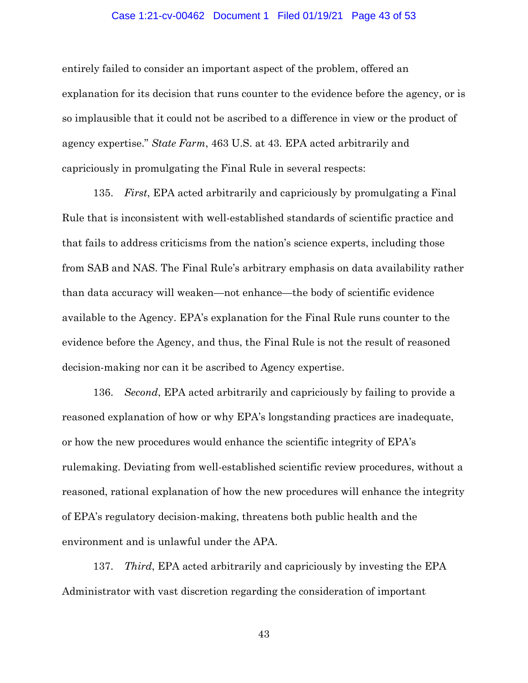#### Case 1:21-cv-00462 Document 1 Filed 01/19/21 Page 43 of 53

entirely failed to consider an important aspect of the problem, offered an explanation for its decision that runs counter to the evidence before the agency, or is so implausible that it could not be ascribed to a difference in view or the product of agency expertise." *State Farm*, 463 U.S. at 43. EPA acted arbitrarily and capriciously in promulgating the Final Rule in several respects:

135. *First*, EPA acted arbitrarily and capriciously by promulgating a Final Rule that is inconsistent with well-established standards of scientific practice and that fails to address criticisms from the nation's science experts, including those from SAB and NAS. The Final Rule's arbitrary emphasis on data availability rather than data accuracy will weaken—not enhance—the body of scientific evidence available to the Agency. EPA's explanation for the Final Rule runs counter to the evidence before the Agency, and thus, the Final Rule is not the result of reasoned decision-making nor can it be ascribed to Agency expertise.

136. *Second*, EPA acted arbitrarily and capriciously by failing to provide a reasoned explanation of how or why EPA's longstanding practices are inadequate, or how the new procedures would enhance the scientific integrity of EPA's rulemaking. Deviating from well-established scientific review procedures, without a reasoned, rational explanation of how the new procedures will enhance the integrity of EPA's regulatory decision-making, threatens both public health and the environment and is unlawful under the APA.

137. *Third*, EPA acted arbitrarily and capriciously by investing the EPA Administrator with vast discretion regarding the consideration of important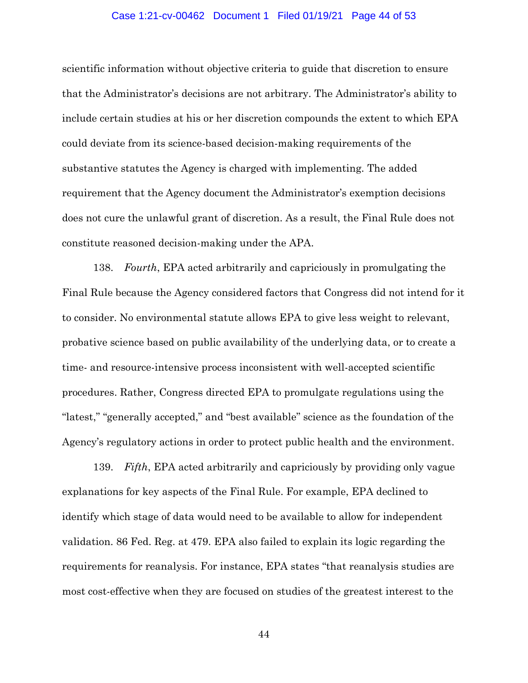#### Case 1:21-cv-00462 Document 1 Filed 01/19/21 Page 44 of 53

scientific information without objective criteria to guide that discretion to ensure that the Administrator's decisions are not arbitrary. The Administrator's ability to include certain studies at his or her discretion compounds the extent to which EPA could deviate from its science-based decision-making requirements of the substantive statutes the Agency is charged with implementing. The added requirement that the Agency document the Administrator's exemption decisions does not cure the unlawful grant of discretion. As a result, the Final Rule does not constitute reasoned decision-making under the APA.

138. *Fourth*, EPA acted arbitrarily and capriciously in promulgating the Final Rule because the Agency considered factors that Congress did not intend for it to consider. No environmental statute allows EPA to give less weight to relevant, probative science based on public availability of the underlying data, or to create a time- and resource-intensive process inconsistent with well-accepted scientific procedures. Rather, Congress directed EPA to promulgate regulations using the "latest," "generally accepted," and "best available" science as the foundation of the Agency's regulatory actions in order to protect public health and the environment.

139. *Fifth*, EPA acted arbitrarily and capriciously by providing only vague explanations for key aspects of the Final Rule. For example, EPA declined to identify which stage of data would need to be available to allow for independent validation. 86 Fed. Reg. at 479. EPA also failed to explain its logic regarding the requirements for reanalysis. For instance, EPA states "that reanalysis studies are most cost-effective when they are focused on studies of the greatest interest to the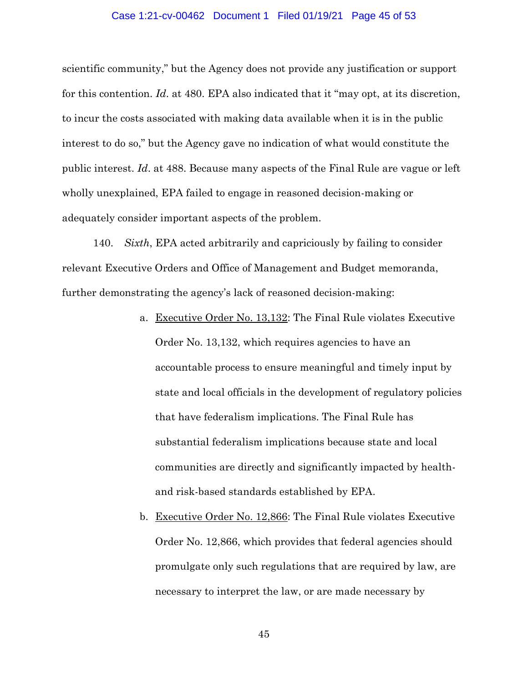#### Case 1:21-cv-00462 Document 1 Filed 01/19/21 Page 45 of 53

scientific community," but the Agency does not provide any justification or support for this contention. *Id*. at 480. EPA also indicated that it "may opt, at its discretion, to incur the costs associated with making data available when it is in the public interest to do so," but the Agency gave no indication of what would constitute the public interest. *Id*. at 488. Because many aspects of the Final Rule are vague or left wholly unexplained, EPA failed to engage in reasoned decision-making or adequately consider important aspects of the problem.

140. *Sixth*, EPA acted arbitrarily and capriciously by failing to consider relevant Executive Orders and Office of Management and Budget memoranda, further demonstrating the agency's lack of reasoned decision-making:

- a. Executive Order No. 13,132: The Final Rule violates Executive Order No. 13,132, which requires agencies to have an accountable process to ensure meaningful and timely input by state and local officials in the development of regulatory policies that have federalism implications. The Final Rule has substantial federalism implications because state and local communities are directly and significantly impacted by healthand risk-based standards established by EPA.
- b. Executive Order No. 12,866: The Final Rule violates Executive Order No. 12,866, which provides that federal agencies should promulgate only such regulations that are required by law, are necessary to interpret the law, or are made necessary by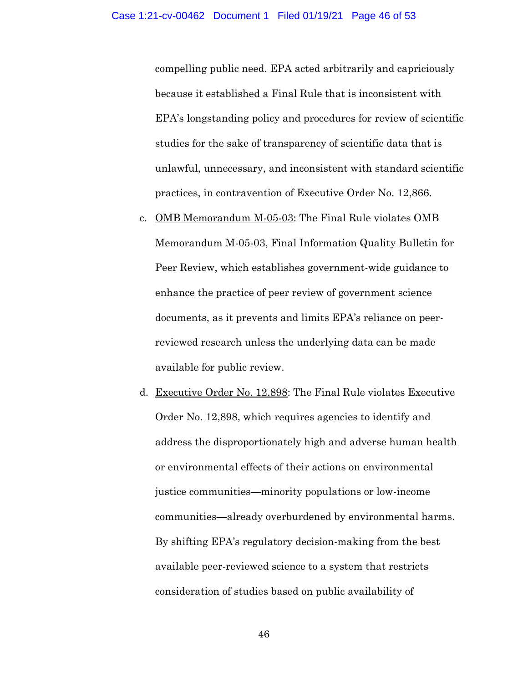compelling public need. EPA acted arbitrarily and capriciously because it established a Final Rule that is inconsistent with EPA's longstanding policy and procedures for review of scientific studies for the sake of transparency of scientific data that is unlawful, unnecessary, and inconsistent with standard scientific practices, in contravention of Executive Order No. 12,866.

- c. OMB Memorandum M-05-03: The Final Rule violates OMB Memorandum M-05-03, Final Information Quality Bulletin for Peer Review, which establishes government-wide guidance to enhance the practice of peer review of government science documents, as it prevents and limits EPA's reliance on peerreviewed research unless the underlying data can be made available for public review.
- d. Executive Order No. 12,898: The Final Rule violates Executive Order No. 12,898, which requires agencies to identify and address the disproportionately high and adverse human health or environmental effects of their actions on environmental justice communities—minority populations or low-income communities—already overburdened by environmental harms. By shifting EPA's regulatory decision-making from the best available peer-reviewed science to a system that restricts consideration of studies based on public availability of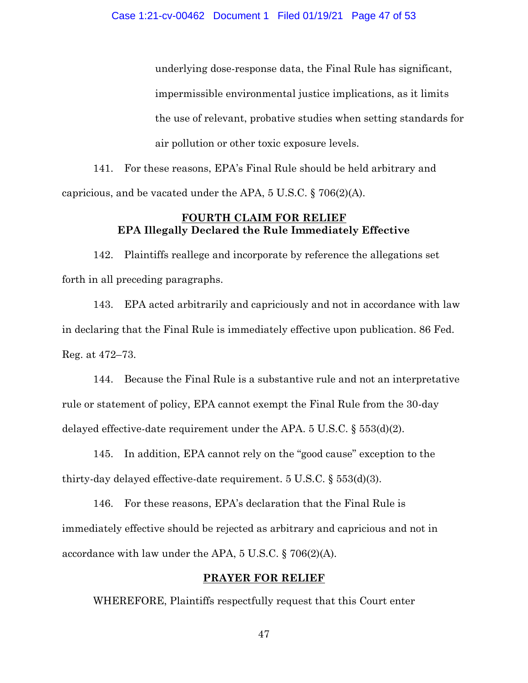underlying dose-response data, the Final Rule has significant, impermissible environmental justice implications, as it limits the use of relevant, probative studies when setting standards for air pollution or other toxic exposure levels.

141. For these reasons, EPA's Final Rule should be held arbitrary and capricious, and be vacated under the APA, 5 U.S.C. § 706(2)(A).

## **FOURTH CLAIM FOR RELIEF EPA Illegally Declared the Rule Immediately Effective**

142. Plaintiffs reallege and incorporate by reference the allegations set forth in all preceding paragraphs.

143. EPA acted arbitrarily and capriciously and not in accordance with law in declaring that the Final Rule is immediately effective upon publication. 86 Fed. Reg. at 472–73.

144. Because the Final Rule is a substantive rule and not an interpretative rule or statement of policy, EPA cannot exempt the Final Rule from the 30-day delayed effective-date requirement under the APA.  $5 \text{ U.S.C.} \$  $553\text{ (d)}\text{ (2)}$ .

145. In addition, EPA cannot rely on the "good cause" exception to the thirty-day delayed effective-date requirement. 5 U.S.C. § 553(d)(3).

146. For these reasons, EPA's declaration that the Final Rule is immediately effective should be rejected as arbitrary and capricious and not in accordance with law under the APA, 5 U.S.C. § 706(2)(A).

## **PRAYER FOR RELIEF**

WHEREFORE, Plaintiffs respectfully request that this Court enter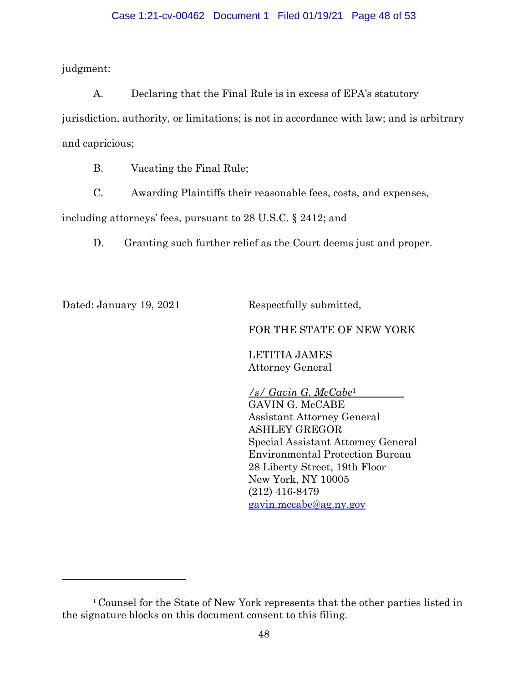## Case 1:21-cv-00462 Document 1 Filed 01/19/21 Page 48 of 53

judgment:

A. Declaring that the Final Rule is in excess of EPA's statutory jurisdiction, authority, or limitations; is not in accordance with law; and is arbitrary and capricious;

B. Vacating the Final Rule;

C. Awarding Plaintiffs their reasonable fees, costs, and expenses,

including attorneys' fees, pursuant to 28 U.S.C. § 2412; and

D. Granting such further relief as the Court deems just and proper.

Dated: January 19, 2021 Respectfully submitted,

 $\overline{a}$ 

## FOR THE STATE OF NEW YORK

LETITIA JAMES Attorney General

*/s/ Gavin G. McCabe*<sup>1</sup> GAVIN G. McCABE Assistant Attorney General ASHLEY GREGOR Special Assistant Attorney General Environmental Protection Bureau 28 Liberty Street, 19th Floor New York, NY 10005 (212) 416-8479 [gavin.mccabe@ag.ny.gov](mailto:gavin.mccabe@ag.ny.gov)

<sup>1</sup> Counsel for the State of New York represents that the other parties listed in the signature blocks on this document consent to this filing.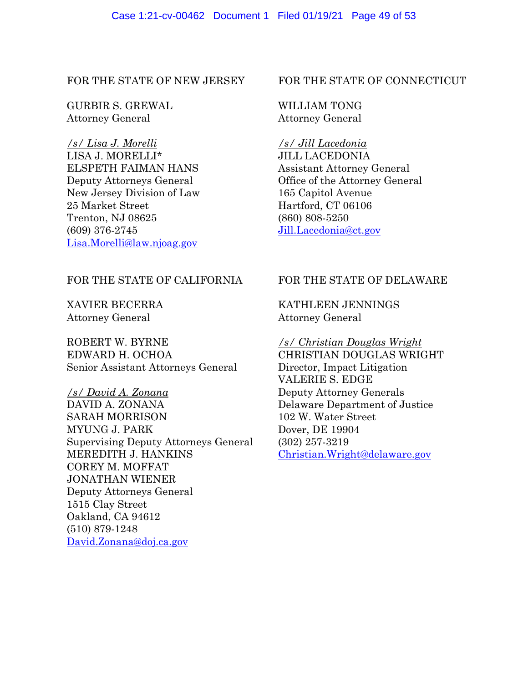FOR THE STATE OF NEW JERSEY

GURBIR S. GREWAL Attorney General

*/s/ Lisa J. Morelli* LISA J. MORELLI\* ELSPETH FAIMAN HANS Deputy Attorneys General New Jersey Division of Law 25 Market Street Trenton, NJ 08625 (609) 376-2745 [Lisa.Morelli@law.njoag.gov](mailto:Lisa.Morelli@law.njoag.gov)

## FOR THE STATE OF CALIFORNIA

XAVIER BECERRA Attorney General

ROBERT W. BYRNE EDWARD H. OCHOA Senior Assistant Attorneys General

*/s/ David A. Zonana* DAVID A. ZONANA SARAH MORRISON MYUNG J. PARK Supervising Deputy Attorneys General MEREDITH J. HANKINS COREY M. MOFFAT JONATHAN WIENER Deputy Attorneys General 1515 Clay Street Oakland, CA 94612 (510) 879-1248 [David.Zonana@doj.ca.gov](mailto:David.Zonana@doj.ca.gov)

## FOR THE STATE OF CONNECTICUT

# WILLIAM TONG Attorney General

*/s/ Jill Lacedonia* JILL LACEDONIA Assistant Attorney General Office of the Attorney General 165 Capitol Avenue Hartford, CT 06106 (860) 808-5250 [Jill.Lacedonia@ct.gov](mailto:Jill.Lacedonia@ct.gov)

# FOR THE STATE OF DELAWARE

# KATHLEEN JENNINGS Attorney General

*/s/ Christian Douglas Wright* CHRISTIAN DOUGLAS WRIGHT Director, Impact Litigation VALERIE S. EDGE Deputy Attorney Generals Delaware Department of Justice 102 W. Water Street Dover, DE 19904 (302) 257-3219 [Christian.Wright@delaware.gov](mailto:Christian.Wright@delaware.gov)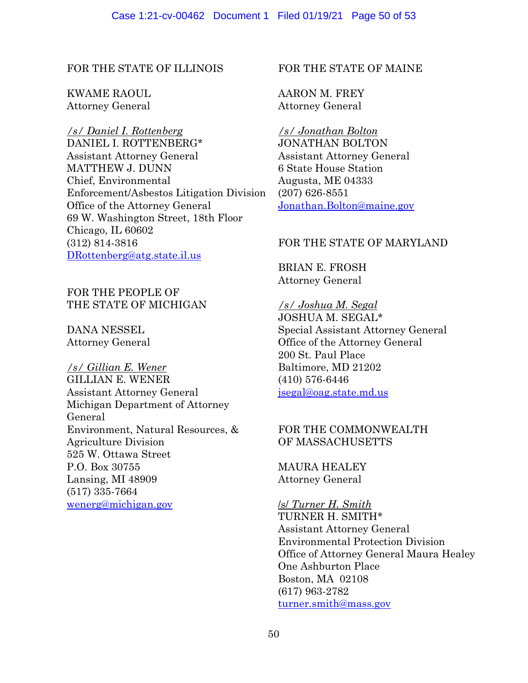## FOR THE STATE OF ILLINOIS

KWAME RAOUL Attorney General

*/s/ Daniel I. Rottenberg* DANIEL I. ROTTENBERG\* Assistant Attorney General MATTHEW J. DUNN Chief, Environmental Enforcement/Asbestos Litigation Division Office of the Attorney General 69 W. Washington Street, 18th Floor Chicago, IL 60602 (312) 814-3816 [DRottenberg@atg.state.il.us](mailto:DRottenberg@atg.state.il.us)

# FOR THE PEOPLE OF THE STATE OF MICHIGAN

DANA NESSEL Attorney General

*/s/ Gillian E. Wener* GILLIAN E. WENER Assistant Attorney General Michigan Department of Attorney General Environment, Natural Resources, & Agriculture Division 525 W. Ottawa Street P.O. Box 30755 Lansing, MI 48909 (517) 335-7664 [wenerg@michigan.gov](mailto:wenerg@michigan.gov)

## FOR THE STATE OF MAINE

AARON M. FREY Attorney General

*/s/ Jonathan Bolton*  JONATHAN BOLTON Assistant Attorney General 6 State House Station Augusta, ME 04333 (207) 626-8551 [Jonathan.Bolton@maine.gov](mailto:Jonathan.Bolton@maine.gov)

## FOR THE STATE OF MARYLAND

BRIAN E. FROSH Attorney General

## */s/ Joshua M. Segal*

JOSHUA M. SEGAL\* Special Assistant Attorney General Office of the Attorney General 200 St. Paul Place Baltimore, MD 21202 (410) 576-6446 [jsegal@oag.state.md.us](mailto:jsegal@oag.state.md.us)

## FOR THE COMMONWEALTH OF MASSACHUSETTS

MAURA HEALEY Attorney General

## /s/ *Turner H. Smith*

TURNER H. SMITH\* Assistant Attorney General Environmental Protection Division Office of Attorney General Maura Healey One Ashburton Place Boston, MA 02108 (617) 963-2782 [turner.smith@mass.gov](mailto:turner.smith@mass.gov)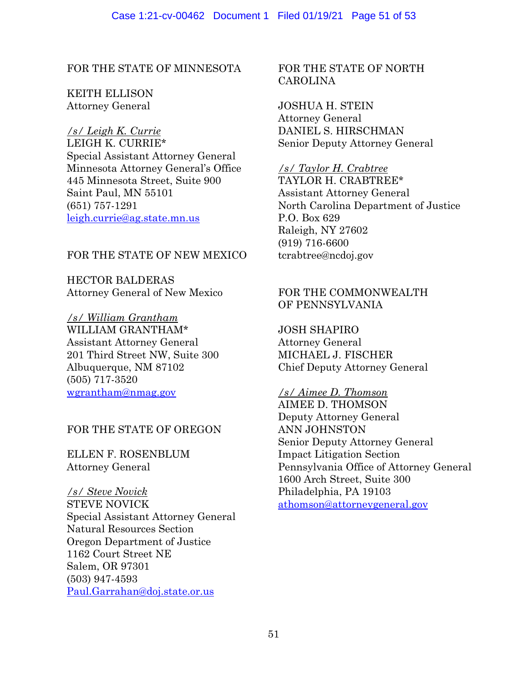FOR THE STATE OF MINNESOTA

KEITH ELLISON Attorney General

*/s/ Leigh K. Currie* LEIGH K. CURRIE\* Special Assistant Attorney General Minnesota Attorney General's Office 445 Minnesota Street, Suite 900 Saint Paul, MN 55101 (651) 757-1291 [leigh.currie@ag.state.mn.us](mailto:leigh.currie@ag.state.mn.us)

## FOR THE STATE OF NEW MEXICO

HECTOR BALDERAS Attorney General of New Mexico

*/s/ William Grantham*  WILLIAM GRANTHAM\* Assistant Attorney General 201 Third Street NW, Suite 300 Albuquerque, NM 87102 (505) 717-3520 [wgrantham@nmag.gov](mailto:wgrantham@nmag.gov)

## FOR THE STATE OF OREGON

ELLEN F. ROSENBLUM Attorney General

*/s/ Steve Novick* STEVE NOVICK Special Assistant Attorney General Natural Resources Section Oregon Department of Justice 1162 Court Street NE Salem, OR 97301 (503) 947-4593 [Paul.Garrahan@doj.state.or.us](mailto:Paul.Garrahan@doj.state.or.us)

FOR THE STATE OF NORTH CAROLINA

JOSHUA H. STEIN Attorney General DANIEL S. HIRSCHMAN Senior Deputy Attorney General

*/s/ Taylor H. Crabtree* TAYLOR H. CRABTREE\* Assistant Attorney General North Carolina Department of Justice P.O. Box 629 Raleigh, NY 27602 (919) 716-6600 tcrabtree@ncdoj.gov

# FOR THE COMMONWEALTH OF PENNSYLVANIA

JOSH SHAPIRO Attorney General MICHAEL J. FISCHER Chief Deputy Attorney General

## */s/ Aimee D. Thomson*

AIMEE D. THOMSON Deputy Attorney General ANN JOHNSTON Senior Deputy Attorney General Impact Litigation Section Pennsylvania Office of Attorney General 1600 Arch Street, Suite 300 Philadelphia, PA 19103 [athomson@attorneygeneral.gov](mailto:athomson@attorneygeneral.gov)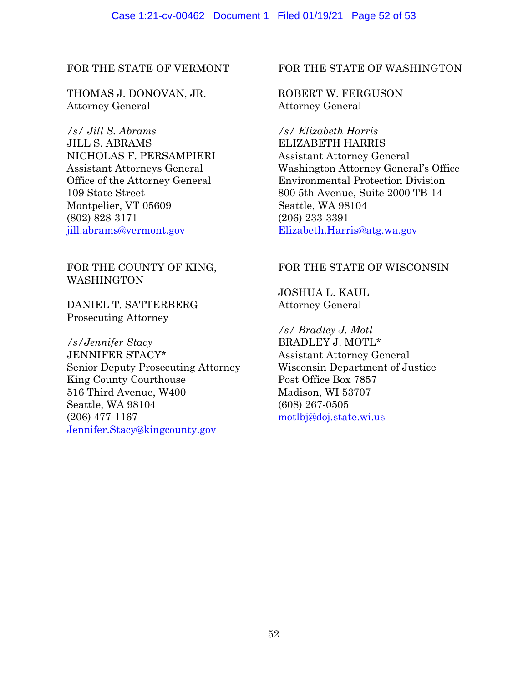### Case 1:21-cv-00462 Document 1 Filed 01/19/21 Page 52 of 53

## FOR THE STATE OF VERMONT

THOMAS J. DONOVAN, JR. Attorney General

*/s/ Jill S. Abrams* JILL S. ABRAMS NICHOLAS F. PERSAMPIERI Assistant Attorneys General Office of the Attorney General 109 State Street Montpelier, VT 05609 (802) 828-3171 [jill.abrams@vermont.gov](mailto:jill.abrams@vermont.gov)

# FOR THE COUNTY OF KING, **WASHINGTON**

DANIEL T. SATTERBERG Prosecuting Attorney

*/s/Jennifer Stacy* JENNIFER STACY\* Senior Deputy Prosecuting Attorney King County Courthouse 516 Third Avenue, W400 Seattle, WA 98104 (206) 477-1167 [Jennifer.Stacy@kingcounty.gov](mailto:Jennifer.Stacy@kingcounty.gov)

## FOR THE STATE OF WASHINGTON

ROBERT W. FERGUSON Attorney General

*/s/ Elizabeth Harris* ELIZABETH HARRIS Assistant Attorney General Washington Attorney General's Office Environmental Protection Division 800 5th Avenue, Suite 2000 TB-14 Seattle, WA 98104 (206) 233-3391 [Elizabeth.Harris@atg.wa.gov](mailto:Elizabeth.Harris@atg.wa.gov)

## FOR THE STATE OF WISCONSIN

JOSHUA L. KAUL Attorney General

*/s/ Bradley J. Motl* BRADLEY J. MOTL\* Assistant Attorney General Wisconsin Department of Justice Post Office Box 7857 Madison, WI 53707 (608) 267-0505 [motlbj@doj.state.wi.us](mailto:motlbj@doj.state.wi.us)